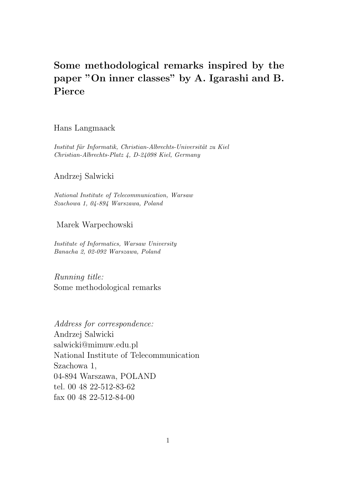# Some methodological remarks inspired by the paper "On inner classes" by A. Igarashi and B. Pierce

## Hans Langmaack

Institut für Informatik, Christian-Albrechts-Universität zu Kiel Christian-Albrechts-Platz 4, D-24098 Kiel, Germany

## Andrzej Salwicki

National Institute of Telecommunication, Warsaw Szachowa 1, 04-894 Warszawa, Poland

#### Marek Warpechowski

Institute of Informatics, Warsaw University Banacha 2, 02-092 Warszawa, Poland

Running title: Some methodological remarks

Address for correspondence: Andrzej Salwicki salwicki@mimuw.edu.pl National Institute of Telecommunication Szachowa 1, 04-894 Warszawa, POLAND tel. 00 48 22-512-83-62 fax 00 48 22-512-84-00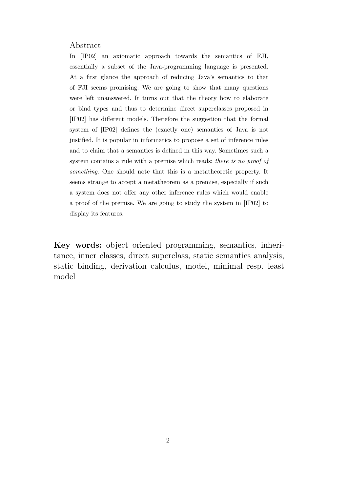#### Abstract

In [IP02] an axiomatic approach towards the semantics of FJI, essentially a subset of the Java-programming language is presented. At a first glance the approach of reducing Java's semantics to that of FJI seems promising. We are going to show that many questions were left unanswered. It turns out that the theory how to elaborate or bind types and thus to determine direct superclasses proposed in [IP02] has different models. Therefore the suggestion that the formal system of [IP02] defines the (exactly one) semantics of Java is not justified. It is popular in informatics to propose a set of inference rules and to claim that a semantics is defined in this way. Sometimes such a system contains a rule with a premise which reads: there is no proof of something. One should note that this is a metatheoretic property. It seems strange to accept a metatheorem as a premise, especially if such a system does not offer any other inference rules which would enable a proof of the premise. We are going to study the system in [IP02] to display its features.

Key words: object oriented programming, semantics, inheritance, inner classes, direct superclass, static semantics analysis, static binding, derivation calculus, model, minimal resp. least model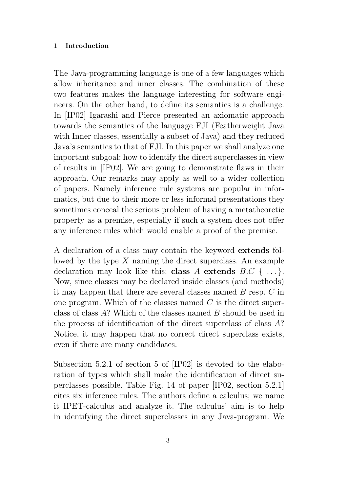#### 1 Introduction

The Java-programming language is one of a few languages which allow inheritance and inner classes. The combination of these two features makes the language interesting for software engineers. On the other hand, to define its semantics is a challenge. In [IP02] Igarashi and Pierce presented an axiomatic approach towards the semantics of the language FJI (Featherweight Java with Inner classes, essentially a subset of Java) and they reduced Java's semantics to that of FJI. In this paper we shall analyze one important subgoal: how to identify the direct superclasses in view of results in [IP02]. We are going to demonstrate flaws in their approach. Our remarks may apply as well to a wider collection of papers. Namely inference rule systems are popular in informatics, but due to their more or less informal presentations they sometimes conceal the serious problem of having a metatheoretic property as a premise, especially if such a system does not offer any inference rules which would enable a proof of the premise.

A declaration of a class may contain the keyword extends followed by the type X naming the direct superclass. An example declaration may look like this: **class** A extends  $B.C \{ \ldots \}$ . Now, since classes may be declared inside classes (and methods) it may happen that there are several classes named B resp. C in one program. Which of the classes named C is the direct superclass of class A? Which of the classes named B should be used in the process of identification of the direct superclass of class A? Notice, it may happen that no correct direct superclass exists, even if there are many candidates.

Subsection 5.2.1 of section 5 of [IP02] is devoted to the elaboration of types which shall make the identification of direct superclasses possible. Table Fig. 14 of paper [IP02, section 5.2.1] cites six inference rules. The authors define a calculus; we name it IPET-calculus and analyze it. The calculus' aim is to help in identifying the direct superclasses in any Java-program. We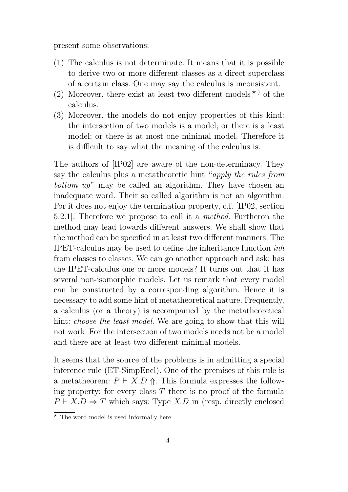present some observations:

- (1) The calculus is not determinate. It means that it is possible to derive two or more different classes as a direct superclass of a certain class. One may say the calculus is inconsistent.
- (2) Moreover, there exist at least two different models  $\star$ ) of the calculus.
- (3) Moreover, the models do not enjoy properties of this kind: the intersection of two models is a model; or there is a least model; or there is at most one minimal model. Therefore it is difficult to say what the meaning of the calculus is.

The authors of [IP02] are aware of the non-determinacy. They say the calculus plus a metatheoretic hint "apply the rules from bottom up" may be called an algorithm. They have chosen an inadequate word. Their so called algorithm is not an algorithm. For it does not enjoy the termination property, c.f. [IP02, section 5.2.1]. Therefore we propose to call it a method. Furtheron the method may lead towards different answers. We shall show that the method can be specified in at least two different manners. The IPET-calculus may be used to define the inheritance function inh from classes to classes. We can go another approach and ask: has the IPET-calculus one or more models? It turns out that it has several non-isomorphic models. Let us remark that every model can be constructed by a corresponding algorithm. Hence it is necessary to add some hint of metatheoretical nature. Frequently, a calculus (or a theory) is accompanied by the metatheoretical hint: *choose the least model*. We are going to show that this will not work. For the intersection of two models needs not be a model and there are at least two different minimal models.

It seems that the source of the problems is in admitting a special inference rule (ET-SimpEncl). One of the premises of this rule is a metatheorem:  $P \vdash X.D \Uparrow$ . This formula expresses the following property: for every class  $T$  there is no proof of the formula  $P \vdash X.D \Rightarrow T$  which says: Type X.D in (resp. directly enclosed

 $\overline{\star}$  The word model is used informally here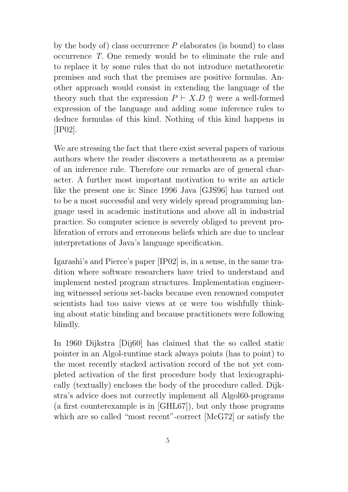by the body of) class occurrence  $P$  elaborates (is bound) to class occurrence T. One remedy would be to eliminate the rule and to replace it by some rules that do not introduce metatheoretic premises and such that the premises are positive formulas. Another approach would consist in extending the language of the theory such that the expression  $P \vdash X.D \uparrow$  were a well-formed expression of the language and adding some inference rules to deduce formulas of this kind. Nothing of this kind happens in [IP02].

We are stressing the fact that there exist several papers of various authors where the reader discovers a metatheorem as a premise of an inference rule. Therefore our remarks are of general character. A further most important motivation to write an article like the present one is: Since 1996 Java [GJS96] has turned out to be a most successful and very widely spread programming language used in academic institutions and above all in industrial practice. So computer science is severely obliged to prevent proliferation of errors and erroneous beliefs which are due to unclear interpretations of Java's language specification.

Igarashi's and Pierce's paper [IP02] is, in a sense, in the same tradition where software researchers have tried to understand and implement nested program structures. Implementation engineering witnessed serious set-backs because even renowned computer scientists had too naive views at or were too wishfully thinking about static binding and because practitioners were following blindly.

In 1960 Dijkstra [Dij60] has claimed that the so called static pointer in an Algol-runtime stack always points (has to point) to the most recently stacked activation record of the not yet completed activation of the first procedure body that lexicographically (textually) encloses the body of the procedure called. Dijkstra's advice does not correctly implement all Algol60-programs (a first counterexample is in [GHL67]), but only those programs which are so called "most recent"-correct [McG72] or satisfy the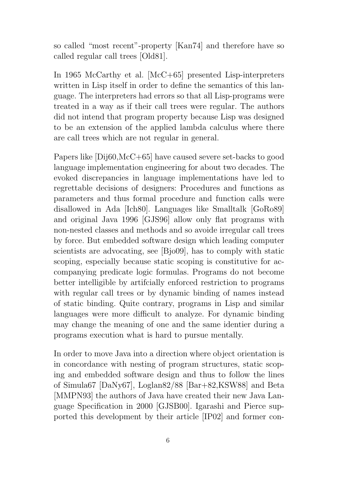so called "most recent"-property [Kan74] and therefore have so called regular call trees [Old81].

In 1965 McCarthy et al. [McC+65] presented Lisp-interpreters written in Lisp itself in order to define the semantics of this language. The interpreters had errors so that all Lisp-programs were treated in a way as if their call trees were regular. The authors did not intend that program property because Lisp was designed to be an extension of the applied lambda calculus where there are call trees which are not regular in general.

Papers like [Dij60,McC+65] have caused severe set-backs to good language implementation engineering for about two decades. The evoked discrepancies in language implementations have led to regrettable decisions of designers: Procedures and functions as parameters and thus formal procedure and function calls were disallowed in Ada [Ich80]. Languages like Smalltalk [GoRo89] and original Java 1996 [GJS96] allow only flat programs with non-nested classes and methods and so avoide irregular call trees by force. But embedded software design which leading computer scientists are advocating, see [Bjo09], has to comply with static scoping, especially because static scoping is constitutive for accompanying predicate logic formulas. Programs do not become better intelligible by artifcially enforced restriction to programs with regular call trees or by dynamic binding of names instead of static binding. Quite contrary, programs in Lisp and similar languages were more difficult to analyze. For dynamic binding may change the meaning of one and the same identier during a programs execution what is hard to pursue mentally.

In order to move Java into a direction where object orientation is in concordance with nesting of program structures, static scoping and embedded software design and thus to follow the lines of Simula67 [DaNy67], Loglan82/88 [Bar+82,KSW88] and Beta [MMPN93] the authors of Java have created their new Java Language Specification in 2000 [GJSB00]. Igarashi and Pierce supported this development by their article [IP02] and former con-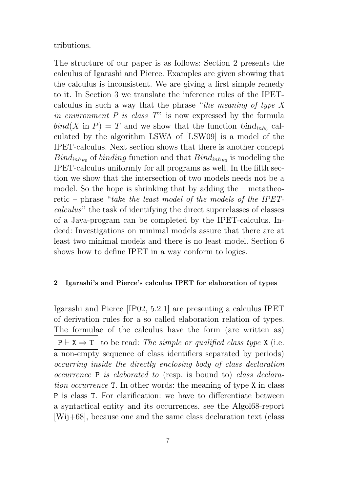## tributions.

The structure of our paper is as follows: Section 2 presents the calculus of Igarashi and Pierce. Examples are given showing that the calculus is inconsistent. We are giving a first simple remedy to it. In Section 3 we translate the inference rules of the IPETcalculus in such a way that the phrase "the meaning of type X in environment  $P$  is class  $T$ " is now expressed by the formula  $bind(X \text{ in } P) = T$  and we show that the function  $bind_{inh_0}$  calculated by the algorithm LSWA of [LSW09] is a model of the IPET-calculus. Next section shows that there is another concept  $\text{Bind}_{inh_{B0}}$  of binding function and that  $\text{Bind}_{inh_{B0}}$  is modeling the IPET-calculus uniformly for all programs as well. In the fifth section we show that the intersection of two models needs not be a model. So the hope is shrinking that by adding the – metatheoretic – phrase "take the least model of the models of the IPETcalculus" the task of identifying the direct superclasses of classes of a Java-program can be completed by the IPET-calculus. Indeed: Investigations on minimal models assure that there are at least two minimal models and there is no least model. Section 6 shows how to define IPET in a way conform to logics.

#### 2 Igarashi's and Pierce's calculus IPET for elaboration of types

Igarashi and Pierce [IP02, 5.2.1] are presenting a calculus IPET of derivation rules for a so called elaboration relation of types. The formulae of the calculus have the form (are written as)  $P \vdash X \Rightarrow T$  to be read: The simple or qualified class type X (i.e. a non-empty sequence of class identifiers separated by periods) occurring inside the directly enclosing body of class declaration occurrence P is elaborated to (resp. is bound to) class declaration occurrence T. In other words: the meaning of type X in class P is class T. For clarification: we have to differentiate between a syntactical entity and its occurrences, see the Algol68-report [Wij+68], because one and the same class declaration text (class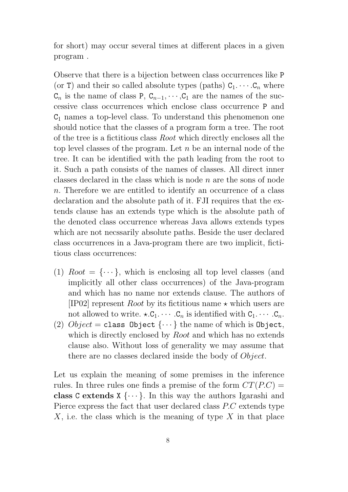for short) may occur several times at different places in a given program .

Observe that there is a bijection between class occurrences like P (or T) and their so called absolute types (paths)  $C_1 \cdots C_n$  where  $C_n$  is the name of class P,  $C_{n-1}, \dots, C_1$  are the names of the successive class occurrences which enclose class occurrence P and  $C_1$  names a top-level class. To understand this phenomenon one should notice that the classes of a program form a tree. The root of the tree is a fictitious class Root which directly encloses all the top level classes of the program. Let  $n$  be an internal node of the tree. It can be identified with the path leading from the root to it. Such a path consists of the names of classes. All direct inner classes declared in the class which is node  $n$  are the sons of node n. Therefore we are entitled to identify an occurrence of a class declaration and the absolute path of it. FJI requires that the extends clause has an extends type which is the absolute path of the denoted class occurrence whereas Java allows extends types which are not necssarily absolute paths. Beside the user declared class occurrences in a Java-program there are two implicit, fictitious class occurrences:

- (1)  $Root = \{ \dots \}$ , which is enclosing all top level classes (and implicitly all other class occurrences) of the Java-program and which has no name nor extends clause. The authors of [IP02] represent *Root* by its fictitious name  $\star$  which users are not allowed to write.  $\star$ . $C_1$ .  $\cdots$  . $C_n$  is identified with  $C_1$ .  $\cdots$  . $C_n$ .
- (2)  $Object = class Object \{ \cdots \}$  the name of which is Object, which is directly enclosed by *Root* and which has no extends clause also. Without loss of generality we may assume that there are no classes declared inside the body of *Object*.

Let us explain the meaning of some premises in the inference rules. In three rules one finds a premise of the form  $CT(P.C)$  = class C extends  $X \{\cdots\}$ . In this way the authors Igarashi and Pierce express the fact that user declared class P.C extends type  $X$ , i.e. the class which is the meaning of type  $X$  in that place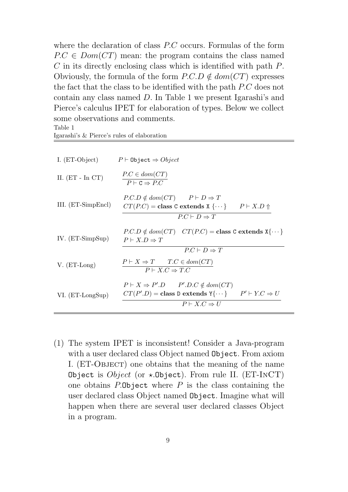where the declaration of class P.C occurs. Formulas of the form  $P.C \in Dom(CT)$  mean: the program contains the class named C in its directly enclosing class which is identified with path P. Obviously, the formula of the form  $P.C.D \notin dom(CT)$  expresses the fact that the class to be identified with the path P.C does not contain any class named D. In Table 1 we present Igarashi's and Pierce's calculus IPET for elaboration of types. Below we collect some observations and comments. Table 1

|  |  | Igarashi's & Pierce's rules of elaboration |
|--|--|--------------------------------------------|
|  |  |                                            |

| I. (ET-Object)     | $P \vdash$ Object $\Rightarrow Object$                                                                                                                                                |
|--------------------|---------------------------------------------------------------------------------------------------------------------------------------------------------------------------------------|
| II. $(ET - In CT)$ | $P.C \in dom(CT)$<br>$P \vdash C \Rightarrow P.C$                                                                                                                                     |
| III. (ET-SimpEncl) | $P.C.D \notin dom(CT)$ $P \vdash D \Rightarrow T$<br>$CT(P.C) = \text{class } C \text{ extends } X \{\cdots\} \qquad P \vdash X.D \Uparrow$<br>$P.C \vdash D \Rightarrow T$           |
| IV. $(ET-SimpSup)$ | $P.C.D \notin dom(CT)$ $CT(P.C) = \text{class } C \text{ extends } X\{\cdots\}$<br>$P \vdash X.D \Rightarrow T$<br>$P.C \vdash D \Rightarrow T$                                       |
| $V. (ET-Long)$     | $P \vdash X \Rightarrow T$ $T.C \in dom(CT)$<br>$P \vdash X.C \Rightarrow T.C$                                                                                                        |
| VI. (ET-LongSup)   | $P \vdash X \Rightarrow P'.D$ $P'.D.C \notin dom(CT)$<br>$CT(P'.D) = \text{class } D \text{ extends } Y\{\cdots\} \qquad P' \vdash Y.C \Rightarrow U$<br>$P \vdash X.C \Rightarrow U$ |

(1) The system IPET is inconsistent! Consider a Java-program with a user declared class Object named Object. From axiom I. (ET-Object) one obtains that the meaning of the name Object is *Object* (or  $\star$ . Object). From rule II. (ET-INCT) one obtains  $P$ . Object where  $P$  is the class containing the user declared class Object named Object. Imagine what will happen when there are several user declared classes Object in a program.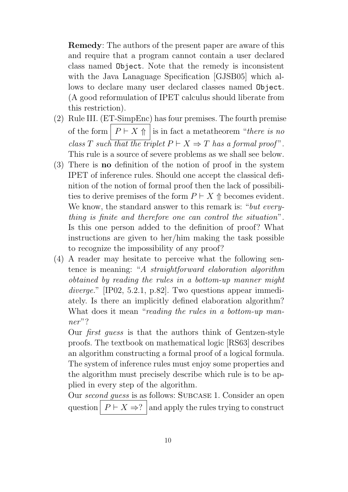Remedy: The authors of the present paper are aware of this and require that a program cannot contain a user declared class named Object. Note that the remedy is inconsistent with the Java Lanaguage Specification [GJSB05] which allows to declare many user declared classes named Object. (A good reformulation of IPET calculus should liberate from this restriction).

- (2) Rule III. (ET-SimpEnc) has four premises. The fourth premise of the form  $P \vdash X \uparrow \vert$  is in fact a metatheorem "there is no class T such that the triplet  $P \vdash X \Rightarrow T$  has a formal proof". This rule is a source of severe problems as we shall see below.
- (3) There is no definition of the notion of proof in the system IPET of inference rules. Should one accept the classical definition of the notion of formal proof then the lack of possibilities to derive premises of the form  $P \vdash X \Uparrow$  becomes evident. We know, the standard answer to this remark is: "*but every*thing is finite and therefore one can control the situation". Is this one person added to the definition of proof? What instructions are given to her/him making the task possible to recognize the impossibility of any proof?
- (4) A reader may hesitate to perceive what the following sentence is meaning: "A straightforward elaboration algorithm obtained by reading the rules in a bottom-up manner might diverge." [IP02, 5.2.1, p.82]. Two questions appear immediately. Is there an implicitly defined elaboration algorithm? What does it mean "reading the rules in a bottom-up manner"?

Our first guess is that the authors think of Gentzen-style proofs. The textbook on mathematical logic [RS63] describes an algorithm constructing a formal proof of a logical formula. The system of inference rules must enjoy some properties and the algorithm must precisely describe which rule is to be applied in every step of the algorithm.

Our second guess is as follows: Subcase 1. Consider an open question  $P \vdash X \Rightarrow ?$  and apply the rules trying to construct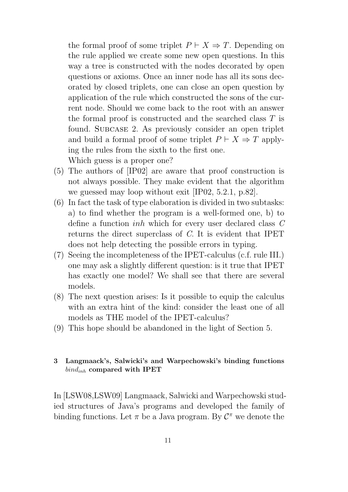the formal proof of some triplet  $P \vdash X \Rightarrow T$ . Depending on the rule applied we create some new open questions. In this way a tree is constructed with the nodes decorated by open questions or axioms. Once an inner node has all its sons decorated by closed triplets, one can close an open question by application of the rule which constructed the sons of the current node. Should we come back to the root with an answer the formal proof is constructed and the searched class T is found. Subcase 2. As previously consider an open triplet and build a formal proof of some triplet  $P \vdash X \Rightarrow T$  applying the rules from the sixth to the first one. Which guess is a proper one?

- (5) The authors of [IP02] are aware that proof construction is not always possible. They make evident that the algorithm we guessed may loop without exit [IP02, 5.2.1, p.82].
- (6) In fact the task of type elaboration is divided in two subtasks: a) to find whether the program is a well-formed one, b) to define a function inh which for every user declared class C returns the direct superclass of C. It is evident that IPET does not help detecting the possible errors in typing.
- (7) Seeing the incompleteness of the IPET-calculus (c.f. rule III.) one may ask a slightly different question: is it true that IPET has exactly one model? We shall see that there are several models.
- (8) The next question arises: Is it possible to equip the calculus with an extra hint of the kind: consider the least one of all models as THE model of the IPET-calculus?
- (9) This hope should be abandoned in the light of Section 5.

## 3 Langmaack's, Salwicki's and Warpechowski's binding functions  $bind_{inh}$  compared with IPET

In [LSW08,LSW09] Langmaack, Salwicki and Warpechowski studied structures of Java's programs and developed the family of binding functions. Let  $\pi$  be a Java program. By  $\mathcal{C}^{\pi}$  we denote the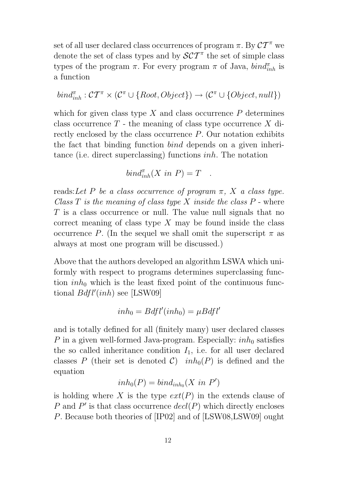set of all user declared class occurrences of program  $\pi$ . By  $CT^{\pi}$  we denote the set of class types and by  $\mathcal{SCT}^{\pi}$  the set of simple class types of the program  $\pi$ . For every program  $\pi$  of Java,  $\text{bind}_{inh}^{\pi}$  is a function

$$
\mathit{bind}_{\mathit{inh}}^\pi : \mathcal{CT}^\pi \times (\mathcal{C}^\pi \cup \{\mathit{Root}, \mathit{Object}\}) \rightarrow (\mathcal{C}^\pi \cup \{\mathit{Object}, \mathit{null}\})
$$

which for given class type  $X$  and class occurrence  $P$  determines class occurrence  $T$  - the meaning of class type occurrence  $X$  directly enclosed by the class occurrence P. Our notation exhibits the fact that binding function bind depends on a given inheritance (i.e. direct superclassing) functions inh. The notation

$$
bind_{inh}^{\pi}(X \in P) = T .
$$

reads: Let P be a class occurrence of program  $\pi$ , X a class type. Class  $T$  is the meaning of class type  $X$  inside the class  $P$  - where T is a class occurrence or null. The value null signals that no correct meaning of class type  $X$  may be found inside the class occurrence P. (In the sequel we shall omit the superscript  $\pi$  as always at most one program will be discussed.)

Above that the authors developed an algorithm LSWA which uniformly with respect to programs determines superclassing function  $inh_0$  which is the least fixed point of the continuous functional  $Bdfl'(inh)$  see [LSW09]

$$
inh_0=Bdfl'(inh_0)=\mu Bdfl'
$$

and is totally defined for all (finitely many) user declared classes P in a given well-formed Java-program. Especially:  $inh_0$  satisfies the so called inheritance condition  $I_1$ , i.e. for all user declared classes P (their set is denoted C)  $inh_0(P)$  is defined and the equation

$$
inh_0(P) = bind_{inh_0}(X \ in \ P')
$$

is holding where X is the type  $ext(P)$  in the extends clause of P and  $P'$  is that class occurrence  $decl(P)$  which directly encloses P. Because both theories of [IP02] and of [LSW08,LSW09] ought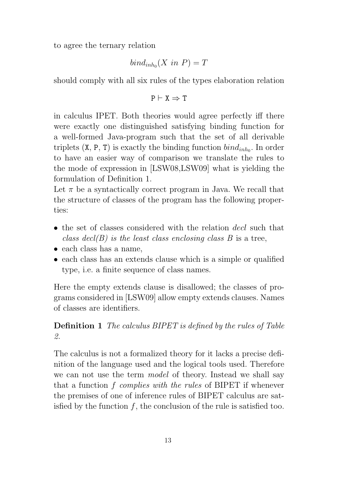to agree the ternary relation

$$
bind_{inh_0}(X \in P) = T
$$

should comply with all six rules of the types elaboration relation

$$
P \vdash X \Rightarrow T
$$

in calculus IPET. Both theories would agree perfectly iff there were exactly one distinguished satisfying binding function for a well-formed Java-program such that the set of all derivable triplets  $(X, P, T)$  is exactly the binding function  $\text{bin}_{\text{inh}_0}$ . In order to have an easier way of comparison we translate the rules to the mode of expression in [LSW08,LSW09] what is yielding the formulation of Definition 1.

Let  $\pi$  be a syntactically correct program in Java. We recall that the structure of classes of the program has the following properties:

- the set of classes considered with the relation decl such that class decl(B) is the least class enclosing class B is a tree,
- each class has a name,
- each class has an extends clause which is a simple or qualified type, i.e. a finite sequence of class names.

Here the empty extends clause is disallowed; the classes of programs considered in [LSW09] allow empty extends clauses. Names of classes are identifiers.

## Definition 1 The calculus BIPET is defined by the rules of Table 2.

The calculus is not a formalized theory for it lacks a precise definition of the language used and the logical tools used. Therefore we can not use the term model of theory. Instead we shall say that a function f complies with the rules of BIPET if whenever the premises of one of inference rules of BIPET calculus are satisfied by the function  $f$ , the conclusion of the rule is satisfied too.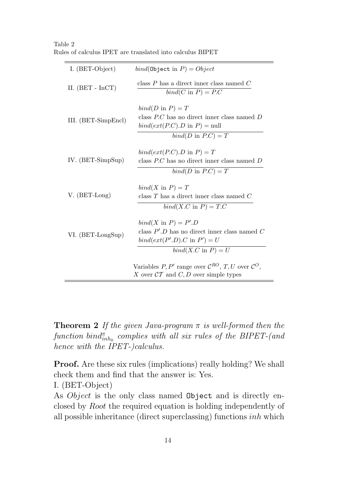Table 2 Rules of calculus IPET are translated into calculus BIPET

| I. (BET-Object)            | $bind(\texttt{Object} \text{ in } P) = Object$                                                                                                         |
|----------------------------|--------------------------------------------------------------------------------------------------------------------------------------------------------|
| II. $(BET - InCT)$         | class $P$ has a direct inner class named $C$<br>$bind(C \text{ in } P) = P.C$                                                                          |
| III. (BET-SimpEncl)        | $bind(D \text{ in } P) = T$<br>class $P.C$ has no direct inner class named $D$<br>$bind(ext(P.C).D$ in $P)$ = null<br>$bind(D \text{ in } P.C) = T$    |
| IV. $(BET\text{-}SimpSup)$ | $bind(ext(P.C).D \text{ in } P) = T$<br>class $P.C$ has no direct inner class named $D$<br>$bind(D \text{ in } P.C) = T$                               |
| $V. (BET-Long)$            | $bind(X \text{ in } P) = T$<br>class $T$ has a direct inner class named $C$<br>$bind(X.C \text{ in } P) = T.C$                                         |
| VI. (BET-LongSup)          | $bind(X \text{ in } P) = P'.D$<br>class $P'.D$ has no direct inner class named $C$<br>$bind(ext(P'.D).C$ in $P') = U$<br>$bind(X.C \text{ in } P) = U$ |
|                            | Variables P, P' range over $\mathcal{C}^{RO}$ , T, U over $\mathcal{C}^{O}$ ,<br>X over $\mathcal{CT}$ and $C, D$ over simple types                    |

**Theorem 2** If the given Java-program  $\pi$  is well-formed then the  $\emph{function}~~\emph{bind}^{\pi}_{inh_0}~~\emph{complex}~~with~~all~~\emph{six}~~\emph{rules}~~\emph{of}~~the~~\emph{BIPET-(and)}$ hence with the IPET-)calculus.

Proof. Are these six rules (implications) really holding? We shall check them and find that the answer is: Yes. I. (BET-Object)

As *Object* is the only class named **Object** and is directly enclosed by Root the required equation is holding independently of all possible inheritance (direct superclassing) functions inh which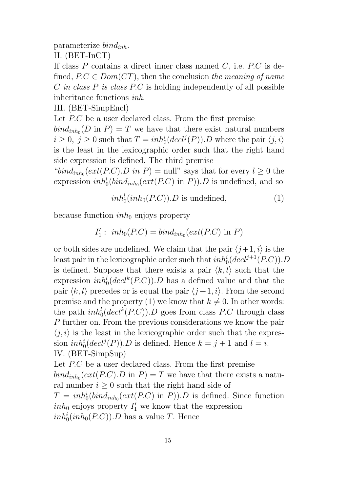parameterize  $bind_{inh}$ .

II. (BET-InCT)

If class  $P$  contains a direct inner class named  $C$ , i.e.  $P.C$  is defined,  $P.C \in Dom(CT)$ , then the conclusion the meaning of name  $C$  in class  $P$  is class  $P.C$  is holding independently of all possible inheritance functions inh.

III. (BET-SimpEncl)

Let P.C be a user declared class. From the first premise  $\text{bind}_{\text{inh}_0}(D \text{ in } P) = T$  we have that there exist natural numbers  $i \geq 0, j \geq 0$  such that  $T = inh_0^i (decl^j(P)).D$  where the pair  $\langle j, i \rangle$ is the least in the lexicographic order such that the right hand side expression is defined. The third premise

" $bind_{inh_0}(ext(P.C).D in P) = \text{null}$ " says that for every  $l \geq 0$  the expression  $inh_0^l(bind_{inh_0}(ext(P.C)$  in P)). D is undefined, and so

$$
inh_0^l(inh_0(P.C)).D \text{ is undefined}, \qquad (1)
$$

because function  $inh_0$  enjoys property

$$
I'_1: inh_0(P.C) = bind_{inh_0}(ext(P.C) \text{ in } P)
$$

or both sides are undefined. We claim that the pair  $\langle i+1, i \rangle$  is the least pair in the lexicographic order such that  $inh_0^i(decl^{j+1}(P.C)).D$ is defined. Suppose that there exists a pair  $\langle k, l \rangle$  such that the expression  $inh_0^l(decl^k(P.C))$ . D has a defined value and that the pair  $\langle k, l \rangle$  precedes or is equal the pair  $\langle j + 1, i \rangle$ . From the second premise and the property (1) we know that  $k \neq 0$ . In other words: the path  $inh_0^l (decl^k(P.C))$ . D goes from class P.C through class P further on. From the previous considerations we know the pair  $\langle j, i \rangle$  is the least in the lexicographic order such that the expression  $inh_0^i(detil(P)).D$  is defined. Hence  $k = j + 1$  and  $l = i$ . IV. (BET-SimpSup)

Let P.C be a user declared class. From the first premise  $bind_{inh_0}(ext(P.C).D \text{ in } P) = T$  we have that there exists a natural number  $i \geq 0$  such that the right hand side of  $T = inh_0^i(bind_{inh_0}(ext(P.C) \text{ in } P)).$  Is defined. Since function  $inh_0$  enjoys property  $I'_1$  we know that the expression  $inh_0^i(inh_0(P.C)).D$  has a value T. Hence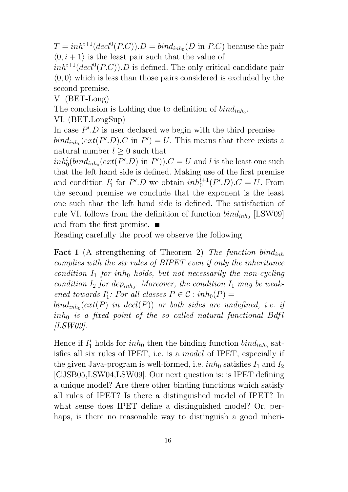$T = inh^{i+1}(decl^{0}(P.C)).D = bind_{inh_0}(D \text{ in } P.C)$  because the pair  $\langle 0, i + 1 \rangle$  is the least pair such that the value of

 $inh^{i+1}(decl^0(P.C)).$  Is defined. The only critical candidate pair  $\langle 0, 0 \rangle$  which is less than those pairs considered is excluded by the second premise.

V. (BET-Long)

The conclusion is holding due to definition of  $bind_{inh_0}$ .

VI. (BET.LongSup)

In case  $P'.D$  is user declared we begin with the third premise  $\text{bind}_{\text{inh}_0}(\text{ext}(P'.D).C \text{ in } P') = U.$  This means that there exists a natural number  $l \geq 0$  such that

 $inh_0^l(bind_{inh_0}(ext(P'.D)$  in  $P'))$ . $C = U$  and l is the least one such that the left hand side is defined. Making use of the first premise and condition  $I_1'$ ''<sub>1</sub> for  $P'.D$  we obtain  $inh_0^{l+1}(P'.D).C = U$ . From the second premise we conclude that the exponent is the least one such that the left hand side is defined. The satisfaction of rule VI. follows from the definition of function  $\text{bin}_{\text{inh}_0}$  [LSW09] and from the first premise.

Reading carefully the proof we observe the following

**Fact 1** (A strengthening of Theorem 2) The function bind<sub>inh</sub> complies with the six rules of BIPET even if only the inheritance condition  $I_1$  for inh<sub>0</sub> holds, but not necessarily the non-cycling condition  $I_2$  for dep<sub>inh<sub>0</sub></sub>. Moreover, the condition  $I_1$  may be weakened towards  $I_1'$  $i_1$ : For all classes  $P \in \mathcal{C} : inh_0(P) =$ 

 $\mathit{bind}_{\mathit{inh}_0}(\mathit{ext}(P) \mathit{ in } \ \mathit{decl}(P)) \ \mathit{ or } \ \mathit{both } \ \mathit{sides} \ \mathit{ are} \ \mathit{undefined}, \ \mathit{i.e.} \ \mathit{ if }$  $inh_0$  is a fixed point of the so called natural functional Bdfl [LSW09].

Hence if  $I'_1$  holds for  $inh_0$  then the binding function  $bind_{inh_0}$  satisfies all six rules of IPET, i.e. is a model of IPET, especially if the given Java-program is well-formed, i.e.  $inh_0$  satisfies  $I_1$  and  $I_2$ [GJSB05,LSW04,LSW09]. Our next question is: is IPET defining a unique model? Are there other binding functions which satisfy all rules of IPET? Is there a distinguished model of IPET? In what sense does IPET define a distinguished model? Or, perhaps, is there no reasonable way to distinguish a good inheri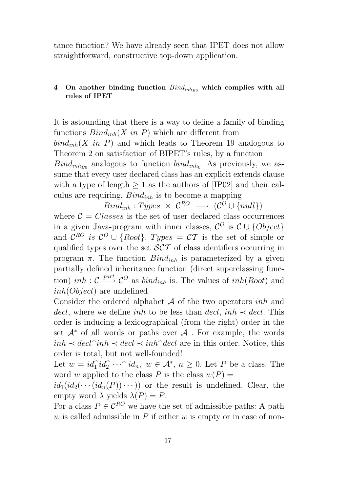tance function? We have already seen that IPET does not allow straightforward, constructive top-down application.

## 4 On another binding function  $\text{Bind}_{inh_{B0}}$  which complies with all rules of IPET

It is astounding that there is a way to define a family of binding functions  $Bind_{inh}(X \text{ in } P)$  which are different from  $bind_{inh}(X \text{ in } P)$  and which leads to Theorem 19 analogous to Theorem 2 on satisfaction of BIPET's rules, by a function  $Bind_{inh_{B0}}$  analogous to function  $bind_{inh_{0}}$ . As previously, we assume that every user declared class has an explicit extends clause with a type of length  $> 1$  as the authors of [IP02] and their calculus are requiring.  $Bind_{inh}$  is to become a mapping

 $\mathit{Bind}_{inh}:Types \times \mathcal{C}^{RO} \longrightarrow (\mathcal{C}^{O} \cup \{null\})$ 

where  $C = Classes$  is the set of user declared class occurrences in a given Java-program with inner classes,  $\mathcal{C}^O$  is  $\mathcal{C} \cup \{Object\}$ and  $\mathcal{C}^{RO}$  is  $\mathcal{C}^O \cup \{Root\}$ . Types =  $\mathcal{CT}$  is the set of simple or qualified types over the set SCT of class identifiers occurring in program  $\pi$ . The function  $Bind_{inh}$  is parameterized by a given partially defined inheritance function (direct superclassing function) *inh* :  $\mathcal{C} \stackrel{part}{\longrightarrow} \mathcal{C}^O$  as *bind<sub>inh</sub>* is. The values of *inh*(*Root*) and inh(Object) are undefined.

Consider the ordered alphabet  $A$  of the two operators *inh* and decl, where we define inh to be less than decl, inh  $\prec$  decl. This order is inducing a lexicographical (from the right) order in the set  $\mathcal{A}^*$  of all words or paths over  $\mathcal{A}$ . For example, the words  $inh \prec decl^{\sim}inh \prec decl \prec inh^{\sim} decl$  are in this order. Notice, this order is total, but not well-founded!

Let  $w = id_1 \hat{id}_2 \cdots \hat{id}_n$ ,  $w \in \mathcal{A}^*, n \geq 0$ . Let P be a class. The word w applied to the class P is the class  $w(P) =$ 

 $id_1(id_2(\cdots(id_n(P))\cdots))$  or the result is undefined. Clear, the empty word  $\lambda$  yields  $\lambda(P) = P$ .

For a class  $P \in \mathcal{C}^{RO}$  we have the set of admissible paths: A path w is called admissible in  $P$  if either w is empty or in case of non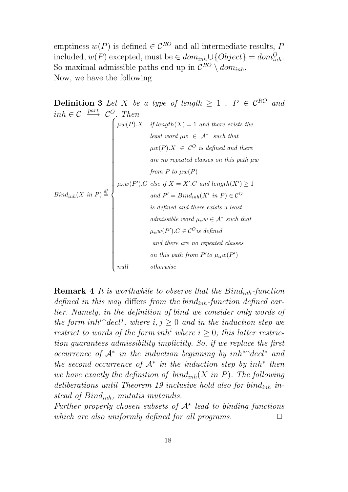emptiness  $w(P)$  is defined  $\in \mathcal{C}^{RO}$  and all intermediate results, P included,  $w(P)$  excepted, must be  $\in dom_{inh} \cup \{Object\} = dom_{inh}^O$ . So maximal admissible paths end up in  $\mathcal{C}^{RO} \setminus dom_{inh}$ . Now, we have the following

**Definition 3** Let X be a type of length 
$$
\geq 1
$$
,  $P \in C^{RO}$  and  
\n $inh \in C \xrightarrow{part} C^O$ . Then  
\n $\begin{cases}\n\mu w(P).X & \text{if length}(X) = 1 \text{ and there exists the} \\
\text{least word } \mu w \in A^* \text{ such that} \\
\mu w(P).X \in C^O \text{ is defined and there} \\
\text{are no repeated classes on this path } \mu w \\
\text{from } P \text{ to } \mu w(P)\n\end{cases}$   
\n $PinamP \text{ to } \mu w(P)$   
\n $\mu_{\alpha} w(P').C \text{ else if } X = X'.C \text{ and length}(X') \geq 1$   
\n $\text{and } P' = \text{Bind}_{inh}(X' \text{ in } P) \in C^O$   
\n $\text{is defined and there exists a least} \\
\text{admissible word } \mu_{\alpha} w \in A^* \text{ such that} \\
\mu_{\alpha} w(P').C \in C^O \text{ is defined} \\
\text{and there are no repeated classes} \\
\text{on this path from } P' \text{ to } \mu_{\alpha} w(P')\n\end{cases}$ 

**Remark 4** It is worthwhile to observe that the  $Bind_{inh}$ -function defined in this way differs from the bind<sub>inh</sub>-function defined earlier. Namely, in the definition of bind we consider only words of the form inh<sup>i-</sup>decl<sup>j</sup>, where  $i, j \geq 0$  and in the induction step we restrict to words of the form inh<sup>i</sup> where  $i > 0$ ; this latter restriction guarantees admissibility implicitly. So, if we replace the first occurrence of  $A^*$  in the induction beginning by  $inh^*$ <sup>-</sup>decl<sup>\*</sup> and the second occurrence of  $A^*$  in the induction step by inh<sup>\*</sup> then we have exactly the definition of  $bind_{inh}(X \in P)$ . The following deliberations until Theorem 19 inclusive hold also for bind<sub>inh</sub> instead of  $Bind_{inh}$ , mutatis mutandis.

Further properly chosen subsets of  $A^*$  lead to binding functions which are also uniformly defined for all programs.  $\Box$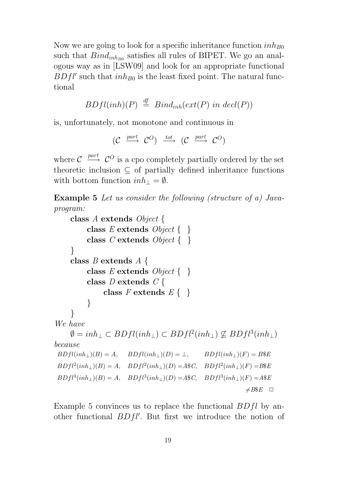Now we are going to look for a specific inheritance function  $inh_{B0}$ such that  $Bind_{inh_{B0}}$  satisfies all rules of BIPET. We go an analogous way as in [LSW09] and look for an appropriate functional  $BDfl'$  such that  $inh_{B0}$  is the least fixed point. The natural functional

$$
BDfl(inh)(P) \stackrel{df}{=} Bind_{inh}(ext(P) \text{ in } decl(P))
$$

is, unfortunately, not monotone and continuous in

$$
(\mathcal{C} \xrightarrow{\text{part}} \mathcal{C}^O) \xrightarrow{\text{tot}} (\mathcal{C} \xrightarrow{\text{part}} \mathcal{C}^O)
$$

where  $\mathcal{C} \stackrel{part}{\longrightarrow} \mathcal{C}^O$  is a cpo completely partially ordered by the set theoretic inclusion  $\subseteq$  of partially defined inheritance functions with bottom function  $inh_{\perp} = \emptyset$ .

Example 5 Let us consider the following (structure of a) Javaprogram:

```
class A extends Object {
            class E extends Object \{\ \}class C extends Object \{\ \}}
      class B extends A {
            class E extends Object \{\ \}class D extends C {
                   class F extends E\{\}}
      }
We have
      \emptyset = inh_{\perp} \subset BDfl (inh_{\perp}) \subset BDfl^2 (inh_{\perp}) \not\subseteq BDfl^3 (inh_{\perp})because
 BDfl(inh<sub>⊥</sub>)(B) = A, BDfl(inh<sub>⊥</sub>)(D) = \bot, BDfl(inh<sub>⊥</sub>)(F) = B$EBDfl^2(inh_\perp)(B) = A, BDfl^2(inh_\perp)(D) = A\C, BDfl^2(inh_\perp)(F) = B\BDfl<sup>3</sup>(inh<sub>⊥</sub>)(B) = A, \quad BDfl<sup>3</sup>(inh<sub>⊥</sub>)(D) = A$C, \quad BDfl<sup>3</sup>(inh<sub>⊥</sub>)(F) = A$E\neq B$E \square
```
Example 5 convinces us to replace the functional  $BDfl$  by another functional  $BDfl'$ . But first we introduce the notion of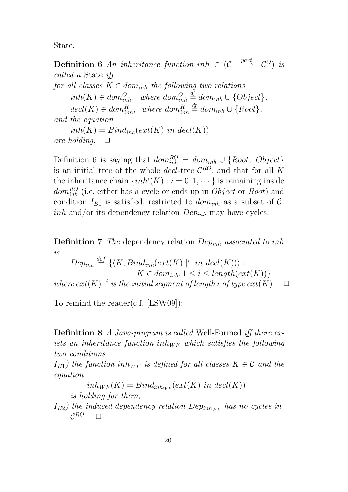State.

**Definition 6** An inheritance function inh  $\in$  (C)  $\frac{part}{\longrightarrow}$   $\mathcal{C}^O$  is called a State iff for all classes  $K \in dom_{inh}$  the following two relations  $inh(K) \in dom_{inh}^O$ , where  $dom_{inh}^O$  $\stackrel{\text{df}}{=} dom_{inh} \cup \{Object\},\$  $decl(K) \in dom_{inh}^R$ , where  $dom_{inh}^R$  $\stackrel{df}{=} dom_{inh} \cup \{Root\},\$ and the equation

 $inh(K) = Bind_{inh}(ext(K) \text{ in } decl(K))$ are holding.  $\Box$ 

Definition 6 is saying that  $dom_{inh}^{RO} = dom_{inh} \cup \{Root, Object\}$ is an initial tree of the whole *decl*-tree  $\mathcal{C}^{RO}$ , and that for all K the inheritance chain  $\{inh^i(K): i = 0, 1, \dots\}$  is remaining inside  $dom_{inh}^{RO}$  (i.e. either has a cycle or ends up in  $Object$  or  $Root)$  and condition  $I_{B1}$  is satisfied, restricted to  $dom_{inh}$  as a subset of C. *inh* and/or its dependency relation  $Dep_{inh}$  may have cycles:

**Definition 7** The dependency relation  $Dep_{inh}$  associated to inh is

 $Dep_{inh} \stackrel{def}{=} {\{\langle K, Bind_{inh}(ext(K) | i \text{ in } decl(K))\rangle :}$  $K \in dom_{inh}, 1 \leq i \leq length(x(t))\}$ where  $ext(K)$  |<sup>i</sup> is the initial segment of length i of type  $ext(K)$ .  $\Box$ 

To remind the reader(c.f. [LSW09]):

Definition 8 A Java-program is called Well-Formed iff there exists an inheritance function in  $h_{WF}$  which satisfies the following two conditions

 $I_{B1}$ ) the function inh<sub>WF</sub> is defined for all classes  $K \in \mathcal{C}$  and the equation

 $inh_{WF}(K) = Bind_{inh_{WF}}(ext(K))$  in decl(K))

is holding for them;

 $I_{B2}$ ) the induced dependency relation Dep<sub>inburg</sub> has no cycles in  $\mathcal{C}^{RO}$ .  $\Box$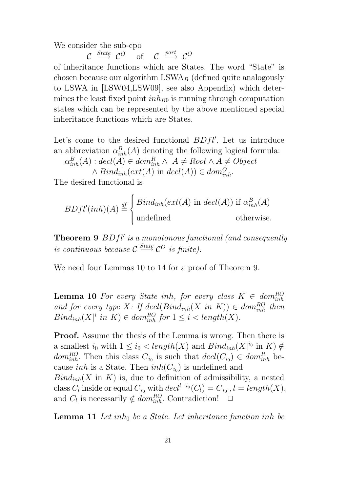We consider the sub-cpo

 $\mathcal{C} \stackrel{State}{\longrightarrow} \mathcal{C}^O$  of  $\mathcal{C} \stackrel{part}{\longrightarrow} \mathcal{C}^O$ 

of inheritance functions which are States. The word "State" is chosen because our algorithm  $LSWA<sub>B</sub>$  (defined quite analogously to LSWA in [LSW04,LSW09], see also Appendix) which determines the least fixed point  $inh_{B0}$  is running through computation states which can be represented by the above mentioned special inheritance functions which are States.

Let's come to the desired functional  $BDfl'$ . Let us introduce an abbreviation  $\alpha_{inh}^B(A)$  denoting the following logical formula:

 $\alpha_{inh}^B(A)$  :  $decl(A) \in dom_{inh}^R \wedge A \neq Root \wedge A \neq Object$ 

 $\wedge Bind_{inh}(ext(A) \text{ in } decl(A)) \in dom_{inh}^{O}$ .

The desired functional is

$$
BDfl'(inh)(A) \stackrel{\text{df}}{=} \begin{cases} Bind_{inh}(ext(A) \text{ in } decl(A)) \text{ if } \alpha_{inh}^B(A) \\ \text{undefined} \end{cases}
$$

**Theorem 9**  $BDfl'$  is a monotonous functional (and consequently is continuous because  $\mathcal{C} \xrightarrow{\text{State}} \mathcal{C}^O$  is finite).

We need four Lemmas 10 to 14 for a proof of Theorem 9.

**Lemma 10** For every State inh, for every class  $K \in dom_{inh}^{RO}$ and for every type X: If  $\text{dec}(\text{Bind}_{inh}(X \text{ in } K)) \in \text{dom}_{inh}^{RO}$  then  $Bind_{inh}(X|^i$  in  $K) \in dom_{inh}^{RO}$  for  $1 \leq i < length(X)$ .

**Proof.** Assume the thesis of the Lemma is wrong. Then there is a smallest  $i_0$  with  $1 \leq i_0 < length(X)$  and  $Bind_{inh}(X|^{i_0}$  in  $K) \notin$ dom<sub>inh</sub>. Then this class  $C_{i_0}$  is such that  $\det(C_{i_0}) \in \mathcal{dom}_{inh}^R$  because *inh* is a State. Then  $inh(C_{i_0})$  is undefined and  $Bind_{inh}(X \text{ in } K)$  is, due to definition of admissibility, a nested

class  $C_l$  inside or equal  $C_{i_0}$  with  $decl^{l-i_0}(C_l) = C_{i_0}$ ,  $l = length(X)$ , and  $C_l$  is necessarily  $\notin dom_{inh}^{RO}$ . Contradiction!  $\Box$ 

**Lemma 11** Let inh<sub>0</sub> be a State. Let inheritance function inh be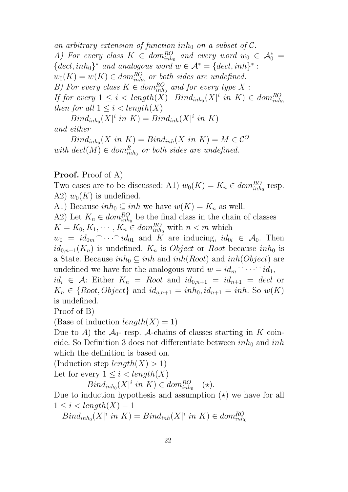an arbitrary extension of function inh<sub>0</sub> on a subset of  $\mathcal{C}$ . A) For every class  $K \in dom_{inh_0}^{RO}$  and every word  $w_0 \in \mathcal{A}_0^* =$  $\{decl, inh_0\}^*$  and analogous word  $w \in A^* = \{decl, inh\}^*$ :  $w_0(K) = w(K) \in dom_{inh_0}^{RO}$  or both sides are undefined. B) For every class  $K \in dom_{inh_0}^{RO}$  and for every type X: If for every  $1 \leq i < length(X)$   $Bind_{inh_0}(X|^i$  in  $K) \in dom_{inh_0}^{RO}$ then for all  $1 \leq i < length(X)$ 

 $Bind_{inh_0}(X|^i$  in  $K) = Bind_{inh}(X|^i$  in  $K)$ and either

 $\operatorname{Bind}_{inh_0}(X \text{ in } K) = \operatorname{Bind}_{inh}(X \text{ in } K) = M \in \mathcal{C}^O$ with  $\text{decl}(M) \in \text{dom}_{\text{inh}_0}^R$  or both sides are undefined.

## Proof. Proof of A)

Two cases are to be discussed: A1)  $w_0(K) = K_n \in dom_{inh_0}^{RO}$  resp. A2)  $w_0(K)$  is undefined.

A1) Because  $inh_0 \subseteq inh$  we have  $w(K) = K_n$  as well.

A2) Let  $K_n \in dom_{inh_0}^{RO}$  be the final class in the chain of classes  $K = K_0, K_1, \cdots, K_n \in dom_{inh_0}^{RO}$  with  $n < m$  which

 $w_0 = id_{0m} \cap \cdots \cap id_{01}$  and K are inducing,  $id_{0i} \in \mathcal{A}_0$ . Then  $id_{0,n+1}(K_n)$  is undefined.  $K_n$  is *Object* or *Root* because  $inh_0$  is a State. Because  $inh_0 \subseteq inh$  and  $inh(Root)$  and  $inh(Object)$  are undefined we have for the analogous word  $w = id_m \cap \cdots \cap id_1$ ,

 $id_i \in \mathcal{A}$ : Either  $K_n = Root$  and  $id_{0,n+1} = id_{n+1} = decl$  or  $K_n \in \{Root, Object\}$  and  $id_{o,n+1} = inh_0, id_{n+1} = inh$ . So  $w(K)$ is undefined.

Proof of B)

(Base of induction  $length(X) = 1$ )

Due to A) the  $\mathcal{A}_{0}$ - resp. A-chains of classes starting in K coincide. So Definition 3 does not differentiate between  $inh_0$  and  $inh$ which the definition is based on.

(Induction step  $length(X) > 1$ )

Let for every  $1 \leq i < length(X)$ 

 $Bind_{inh_0}(X|^i$  in  $K) \in dom_{inh_0}^{RO}$  $(\star).$ 

Due to induction hypothesis and assumption  $(\star)$  we have for all  $1 \leq i \leq length(X) - 1$ 

 $Bind_{inh_0}(X|^i$  in  $K) = Bind_{inh}(X|^i$  in  $K) \in dom_{inh_0}^{RO}$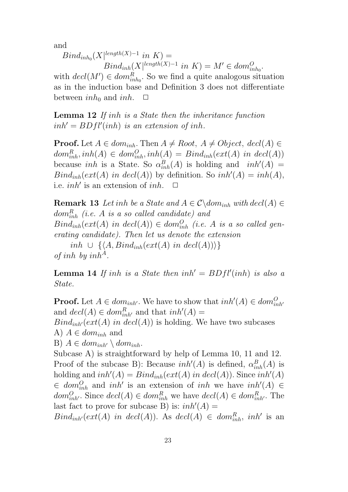and

 $Bind_{inh_0}(X|^{length(X)-1}$  in  $K) =$  $Bind_{inh}[X|^{length(X)-1} \text{ in } K) = M' \in dom_{inh_0}^O.$ 

with  $\det(M') \in \text{dom}_{\text{inh}_0}^R$ . So we find a quite analogous situation as in the induction base and Definition 3 does not differentiate between  $inh_0$  and  $inh$ .  $\Box$ 

Lemma 12 If inh is a State then the inheritance function  $inh' = BDfl'(inh)$  is an extension of inh.

**Proof.** Let  $A \in dom_{inh}$ . Then  $A \neq Root$ ,  $A \neq Object$ ,  $decl(A) \in$  $dom_{inh}^R, inh(A) \in dom_{inh}^O, inh(A) = Bind_{inh}(ext(A) \text{ in } decl(A))$ because *inh* is a State. So  $\alpha_{inh}^B(A)$  is holding and *inh'*(A) =  $Bind_{inh}(ext(A) \text{ in } decl(A))$  by definition. So  $inh'(A) = inh(A)$ , i.e. *inh'* is an extension of *inh*.  $\Box$ 

**Remark 13** Let inh be a State and  $A \in \mathcal{C} \setminus \text{dom}_{inh}$  with  $\text{decl}(A) \in$  $dom^R_{inh}$  (i.e. A is a so called candidate) and  $Bind_{inh}(ext(A) \text{ in } decl(A)) \in dom_{inh}^{O}$  (i.e. A is a so called generating candidate). Then let us denote the extension  $inh ∪ {A, Bind<sub>inh</sub>(ext(A) in decl(A))}$ of inh by  $inh^A$ .

**Lemma 14** If inh is a State then  $inh' = BDfl'(inh)$  is also a State.

**Proof.** Let  $A \in dom_{inh'}$ . We have to show that  $inh'(A) \in dom_{inh'}^O$ and  $\det(A) \in \text{dom}_{\text{inh}'}^R$  and that  $\text{inh}'(A) =$  $Bind_{inh'}(ext(A)$  in  $decl(A))$  is holding. We have two subcases A)  $A \in dom_{inh}$  and B)  $A \in dom_{inh'} \setminus dom_{inh}$ . Subcase A) is straightforward by help of Lemma 10, 11 and 12. Proof of the subcase B): Because  $inh'(A)$  is defined,  $\alpha_{inh}^B(A)$  is holding and  $inh'(A) = Bin_{inh}(ext(A) \text{ in } decl(A))$ . Since  $inh'(A)$  $\in dom_{inh}^{\mathcal{O}}$  and  $inh'$  is an extension of inh we have  $inh'(A) \in$  $dom_{inh'}^O$ . Since  $decl(A) \in dom_{inh}^R$  we have  $decl(A) \in dom_{inh'}^R$ . The last fact to prove for subcase B) is:  $inh'(A) =$ 

 $Bind_{inh'}(ext(A)$  in  $decl(A))$ . As  $decl(A) \in dom_{inh}^R$ , inh' is an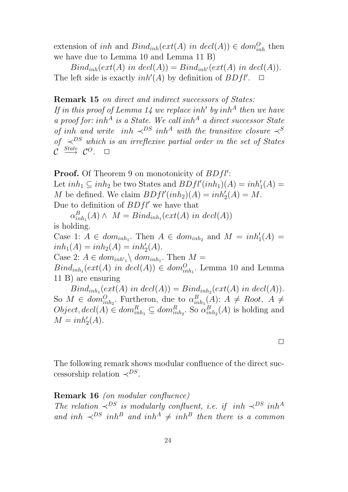extension of *inh* and  $Bind_{inh}(ext(A)$  *in decl*(*A*))  $\in dom_{inh}^O$  then we have due to Lemma 10 and Lemma 11 B)

 $Bind_{inh}(ext(A) \text{ in } decl(A)) = Bind_{inh}(ext(A) \text{ in } decl(A)).$ The left side is exactly  $inh'(A)$  by definition of  $BDfl'$  $\Box$ 

## Remark 15 on direct and indirect successors of States:

If in this proof of Lemma 14 we replace inh' by inh<sup>A</sup> then we have a proof for: inh<sup>A</sup> is a State. We call inh<sup>A</sup> a direct successor State of inh and write inh  $\prec^{DS} inh^A$  with the transitive closure  $\prec^S$ of  $\prec^{DS}$  which is an irreflexive partial order in the set of States  $\mathcal{C} \ \stackrel{State}{\longrightarrow} \ \mathcal{C}^O. \quad \Box$ 

**Proof.** Of Theorem 9 on monotonicity of  $BDfl'$ : Let  $inh_1 \subseteq inh_2$  be two States and  $BDfl'(inh_1)(A) = inh'_1(A) =$ M be defined. We claim  $BDfl'(inh_2)(A) = inh'_2(A) = M$ . Due to definition of  $BDfl'$  we have that

 $\alpha_{ir}^B$  $_{inh_1}^{B}(A) \wedge M = Bind_{inh_1}(ext(A) \text{ in } decl(A))$ is holding.

Case 1:  $A \in dom_{inh_1}$ . Then  $A \in dom_{inh_2}$  and  $M = inh'_1(A)$  =  $inh_1(A) = inh_2(A) = inh'_2(A).$ 

Case 2:  $A \in dom_{inh'_1} \backslash dom_{inh_1}$ . Then  $M =$ 

 $Bind_{inh_1}(ext(A) \text{ in } decl(A)) \in dom_{inh_1}^O$ . Lemma 10 and Lemma 11 B) are ensuring

 $Bind_{inh_1}(ext(A) \text{ in } decl(A)) = Bind_{inh_2}(ext(A) \text{ in } decl(A)).$ So  $M \in dom_{inh_2}^O$ . Furtheron, due to  $\alpha_{in}^B$  $_{inh_1}^{B}(A)$ :  $A \neq Root, A \neq$  $Object, decl(A) \in dom_{inh_1}^R \subseteq dom_{inh_2}^R$ . So  $\alpha_{in}^B$  $_{inh_2}^{B}(A)$  is holding and  $M = inh'_2(A).$ 

 $\Box$ 

The following remark shows modular confluence of the direct successorship relation  $\prec^{DS}$ .

## Remark 16 (on modular confluence)

The relation  $\prec^{DS}$  is modularly confluent, i.e. if inh  $\prec^{DS}$  inh<sup>A</sup> and inh  $\prec^{DS}$  inh<sup>B</sup> and inh<sup>A</sup>  $\neq$  inh<sup>B</sup> then there is a common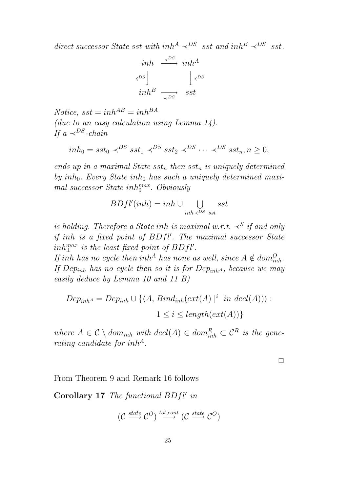direct successor State sst with inh<sup>A</sup>  $\prec^{DS}$  sst and inh<sup>B</sup>  $\prec^{DS}$  sst.

$$
\begin{array}{ccc}\ninh & \stackrel{\prec^{DS}}{\longrightarrow} & inh^A \\
\downarrow^{DS} & & \downarrow^{DS} \\
inh^B & \stackrel{\longrightarrow}{\longrightarrow} & sst\n\end{array}
$$

Notice,  $sst = inh^{AB} = inh^{BA}$ (due to an easy calculation using Lemma  $14$ ). If a  $\prec^{DS}$ -chain

$$
inh_0 = sst_0 \prec^{DS} sst_1 \prec^{DS} sst_2 \prec^{DS} \cdots \prec^{DS} sst_n, n \ge 0,
$$

ends up in a maximal State  $sst_n$  then  $sst_n$  is uniquely determined by  $inh_0$ . Every State  $inh_0$  has such a uniquely determined maximal successor State in $h_0^{max}$ . Obviously

$$
BDfl'(inh) = inh \cup \bigcup_{inh \prec^{DS} sst} sst
$$

is holding. Therefore a State inh is maximal w.r.t.  $\prec^S$  if and only if inh is a fixed point of  $BDfl'$ . The maximal successor State  $inh_{\perp}^{max}$  is the least fixed point of  $BDfl'.$ 

If inh has no cycle then inh<sup>A</sup> has none as well, since  $A \notin dom_{inh}^O$ . If Dep<sub>inh</sub> has no cycle then so it is for Dep<sub>inh</sub><sub>A</sub>, because we may easily deduce by Lemma 10 and 11 B)

$$
Dep_{inhA} = Dep_{inh} \cup \{ \langle A, Bind_{inh}(ext(A)) | i \text{ in } decl(A)) \rangle :
$$
  

$$
1 \le i \le length(ext(A)) \}
$$

where  $A \in \mathcal{C} \setminus dom_{inh}$  with  $decl(A) \in dom_{inh}^R \subset \mathcal{C}^R$  is the generating candidate for inh<sup>A</sup>.

 $\Box$ 

From Theorem 9 and Remark 16 follows

Corollary  $17$  The functional  $BDfl'$  in

$$
(\mathcal{C} \xrightarrow{\textit{state}} \mathcal{C}^O) \xrightarrow{\textit{tot}, \textit{cont}} (\mathcal{C} \xrightarrow{\textit{state}} \mathcal{C}^O)
$$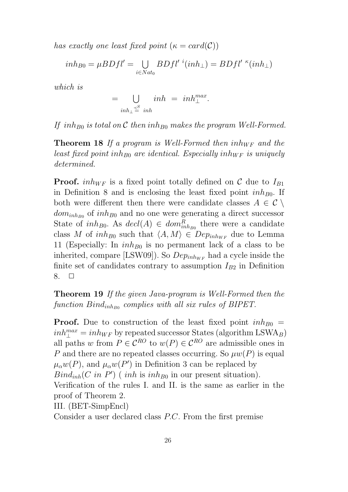has exactly one least fixed point  $(\kappa = \text{card}(\mathcal{C}))$ 

$$
inh_{B0} = \mu B Dfl' = \bigcup_{i \in Nat_0} B Dfl' \ ^i (inh_\perp) = B Dfl' \ ^\kappa (inh_\perp)
$$

which is

$$
=\bigcup_{inh_{\perp}\leq\atop{}}inh\atop{=~}inh\atop{=~}inh\atop{=~}.
$$

If inh<sub>B0</sub> is total on C then inh<sub>B0</sub> makes the program Well-Formed.

**Theorem 18** If a program is Well-Formed then  $inh_{WF}$  and the least fixed point inh<sub>B0</sub> are identical. Especially inh<sub>WF</sub> is uniquely determined.

**Proof.** inh<sub>WF</sub> is a fixed point totally defined on C due to  $I_{B1}$ in Definition 8 and is enclosing the least fixed point  $inh_{B0}$ . If both were different then there were candidate classes  $A \in \mathcal{C} \setminus \mathcal{C}$  $dom_{inh_{B0}}$  of  $inh_{B0}$  and no one were generating a direct successor State of  $inh_{B0}$ . As  $decl(A) \in dom_{inh_{B0}}^R$  there were a candidate class M of  $inh_{B0}$  such that  $\langle A, M \rangle \in Dep_{inh_{WF}}$  due to Lemma 11 (Especially: In  $inh_{B0}$  is no permanent lack of a class to be inherited, compare [LSW09]). So  $Dep_{inh_{WF}}$  had a cycle inside the finite set of candidates contrary to assumption  $I_{B2}$  in Definition 8.  $\Box$ 

Theorem 19 If the given Java-program is Well-Formed then the  $\emph{function Bind}_{inh_{B0}}$  complies with all six rules of BIPET.

**Proof.** Due to construction of the least fixed point  $inh_{B0}$  =  $inh_{\perp}^{max}=inh_{WF}$  by repeated successor States (algorithm LSWA<sub>B</sub>) all paths w from  $P \in \mathcal{C}^{RO}$  to  $w(P) \in \mathcal{C}^{RO}$  are admissible ones in P and there are no repeated classes occurring. So  $\mu w(P)$  is equal  $\mu_{\alpha}w(P)$ , and  $\mu_{\alpha}w(P')$  in Definition 3 can be replaced by  $\text{Bind}_{inh}(C \text{ in } P')$  (inh is inh<sub>B0</sub> in our present situation). Verification of the rules I. and II. is the same as earlier in the proof of Theorem 2. III. (BET-SimpEncl)

Consider a user declared class P.C. From the first premise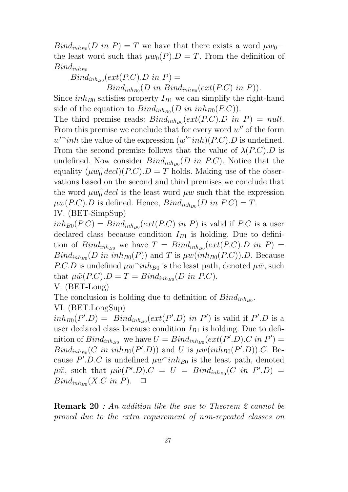$\text{Bind}_{inh_{B0}}(D \text{ in } P) = T$  we have that there exists a word  $\mu w_0$  – the least word such that  $\mu w_0(P) D = T$ . From the definition of  $Bind_{inh_{B0}}$ 

 $Bind_{inh_{B0}}(ext(P.C).D~in~P) =$ 

 $\operatorname{Bind}_{inh_{B0}}(D \text{ in } \operatorname{Bind}_{inh_{B0}}(ext(P.C) \text{ in } P)).$ 

Since  $inh_{B0}$  satisfies property  $I_{B1}$  we can simplify the right-hand side of the equation to  $\mathcal{B}\text{ind}_{inh_{B0}}(D\text{ in }inh_{B0}(P.C)).$ 

The third premise reads:  $Bind_{inh_{B0}}(ext(P.C).D \text{ in } P) = null.$ From this premise we conclude that for every word  $w''$  of the form  $w'$ *inh* the value of the expression  $(w'$ *inh* $)(P.C)$ . *D* is undefined. From the second premise follows that the value of  $\lambda(P.C).D$  is undefined. Now consider  $\mathcal{B}ind_{inh_{B0}}(D \text{ in } P.C)$ . Notice that the equality  $(\mu w_0^{\hat{}} \text{ } decl)(P.C).D = T$  holds. Making use of the observations based on the second and third premises we conclude that the word  $\mu w_0^{\hat{}}$  decl is the least word  $\mu w$  such that the expression  $\mu w(P.C).D$  is defined. Hence,  $\mathit{Bind}_{inh_{B0}}(D \text{ in } P.C) = T.$ 

IV. (BET-SimpSup)

 $inh_{B0}(P.C) = Bind_{inh_{B0}}(ext(P.C) \text{ in } P)$  is valid if P.C is a user declared class because condition  $I_{B1}$  is holding. Due to definition of  $Bind_{inh_{B0}}$  we have  $T = Bind_{inh_{B0}}(ext(P.C).D in P)$  $\text{Bind}_{inh_{B0}}(D \text{ in } inh_{B0}(P))$  and T is  $\mu w(\text{inh}_{B0}(P.C)).D$ . Because *P.C.D* is undefined  $\mu w^{\n}inh_{B0}$  is the least path, denoted  $\mu \tilde{w}$ , such that  $\mu \tilde{w}(P.C).D = T = Bin_{inh_{B0}}(D \text{ in } P.C).$ 

V. (BET-Long)

The conclusion is holding due to definition of  $\text{Bind}_{inh_{B0}}$ . VI. (BET.LongSup)

 $inh_{B0}(P'.D) = Bin_{dinh_{B0}}(ext(P'.D)$  in P') is valid if P'.D is a user declared class because condition  $I_{B1}$  is holding. Due to definition of  $Bind_{inh_{B0}}$  we have  $U = Bind_{inh_{B0}}(ext(P'.D).C \text{ in } P') =$  $\operatorname{Bind}_{inh_{B0}}(C \text{ in } inh_{B0}(P'.D))$  and U is  $\mu w(\text{inh}_{B0}(P'.D)).C$ . Because  $P'.D.C$  is undefined  $\mu w^{\frown}inh_{B0}$  is the least path, denoted  $\mu\tilde{w}$ , such that  $\mu\tilde{w}(P'.D).C = U = Bind_{inh_{B0}}(C \text{ in } P'.D)$  $Bind_{inh_{B0}}(X.C \text{ in } P). \quad \Box$ 

Remark 20 : An addition like the one to Theorem 2 cannot be proved due to the extra requirement of non-repeated classes on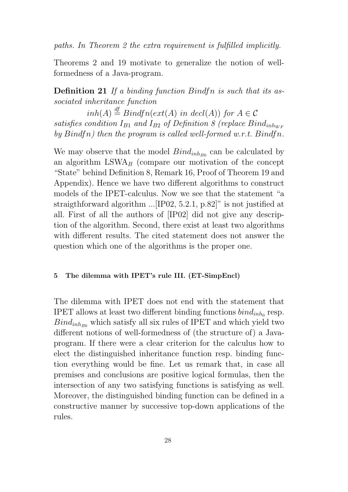paths. In Theorem 2 the extra requirement is fulfilled implicitly.

Theorems 2 and 19 motivate to generalize the notion of wellformedness of a Java-program.

Definition 21 If a binding function Bindfn is such that its associated inheritance function

 $inh(A) \stackrel{df}{=} Bindfn(ext(A) \text{ in } decl(A))$  for  $A \in \mathcal{C}$ satisfies condition  $I_{B1}$  and  $I_{B2}$  of Definition 8 (replace  $Bind_{inhwF}$ by  $Bindfn)$  then the program is called well-formed w.r.t.  $Bindfn$ .

We may observe that the model  $Bind_{inh_{B0}}$  can be calculated by an algorithm  $LSWA<sub>B</sub>$  (compare our motivation of the concept "State" behind Definition 8, Remark 16, Proof of Theorem 19 and Appendix). Hence we have two different algorithms to construct models of the IPET-calculus. Now we see that the statement "a straigthforward algorithm ...[IP02, 5.2.1, p.82]" is not justified at all. First of all the authors of [IP02] did not give any description of the algorithm. Second, there exist at least two algorithms with different results. The cited statement does not answer the question which one of the algorithms is the proper one.

#### 5 The dilemma with IPET's rule III. (ET-SimpEncl)

The dilemma with IPET does not end with the statement that IPET allows at least two different binding functions  $bind_{inh_0}$  resp.  $Bind<sub>inh<sub>Bo</sub></sub>$  which satisfy all six rules of IPET and which yield two different notions of well-formedness of (the structure of) a Javaprogram. If there were a clear criterion for the calculus how to elect the distinguished inheritance function resp. binding function everything would be fine. Let us remark that, in case all premises and conclusions are positive logical formulas, then the intersection of any two satisfying functions is satisfying as well. Moreover, the distinguished binding function can be defined in a constructive manner by successive top-down applications of the rules.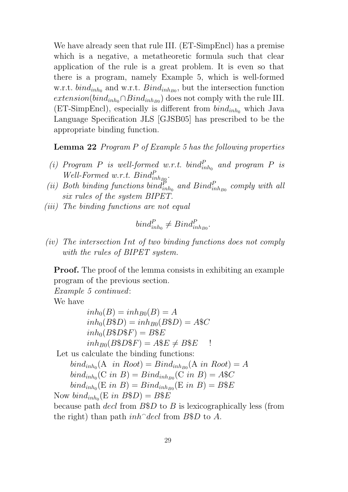We have already seen that rule III. (ET-SimpEncl) has a premise which is a negative, a metatheoretic formula such that clear application of the rule is a great problem. It is even so that there is a program, namely Example 5, which is well-formed w.r.t.  $bind_{inh_0}$  and w.r.t.  $Bind_{inh_{B0}}$ , but the intersection function  $extension(bind_{inh_0} \cap Bind_{inh_{B0}})$  does not comply with the rule III. (ET-SimpEncl), especially is different from  $bind_{inh_0}$  which Java Language Specification JLS [GJSB05] has prescribed to be the appropriate binding function.

Lemma 22 Program P of Example 5 has the following properties

- (i) Program P is well-formed w.r.t.  $bind_{inh_0}^P$  and program P is Well-Formed w.r.t.  $Bind_{inh_{B0}}^P$ .
- (ii) Both binding functions bind $_{inh_0}^P$  and  $Bind_{inh_{B0}}^P$  comply with all six rules of the system BIPET.
- (iii) The binding functions are not equal

$$
bind_{inh_0}^P \neq Bind_{inh_{B0}}^P
$$

.

(iv) The intersection Int of two binding functions does not comply with the rules of BIPET system.

**Proof.** The proof of the lemma consists in exhibiting an example program of the previous section.

Example 5 continued:

We have

$$
inh_0(B) = inh_{B0}(B) = A
$$
  
\n
$$
inh_0(B\$D) = inh_{B0}(B\$D) = A\$C
$$
  
\n
$$
inh_0(B\$D\$F) = B\$E
$$
  
\n
$$
inh_{B0}(B\$D\$F) = A\$E \neq B\$E
$$

Let us calculate the binding functions:

 $bind_{inh_0}$ (A in Root) =  $Bind_{inh_{B0}}$ (A in Root) = A  $\text{bind}_{\text{inh}_0}(\text{C in } B) = \text{Bind}_{\text{inh}_{B0}}(\text{C in } B) = A\$C$  $\text{bind}_{\text{inh}_0}(\text{E in } B) = \text{Bind}_{\text{inh}_{B0}}(\text{E in } B) = B$ \$E

Now  $bind_{inh_0}$ (E in  $B$D) = B$E$ 

because path *decl* from  $B$D$  to B is lexicographically less (from the right) than path  $inh\hat{ }$  decl from B\$D to A.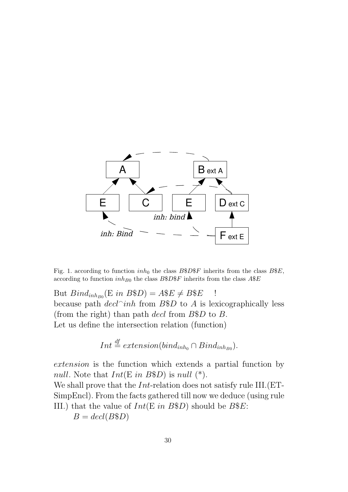

Fig. 1. according to function  $inh_0$  the class  $B$D$F$  inherits from the class  $B$E$ , according to function  $inh_{B0}$  the class  $B$D$F$  inherits from the class  $A$E$ 

But  $Bind_{inh_{B0}}(E \text{ in } B$D) = A$E \neq B$E$  ! because path  $\text{dec} \cap \text{inh}$  from B\$D to A is lexicographically less (from the right) than path decl from  $B\$D$  to B. Let us define the intersection relation (function)

$$
Int \stackrel{df}{=} extension(bind_{inh_0} \cap Bind_{inh_{B0}}).
$$

extension is the function which extends a partial function by null. Note that  $Int(E \text{ in } B\$D)$  is null  $(*)$ .

We shall prove that the *Int*-relation does not satisfy rule III. (ET-SimpEncl). From the facts gathered till now we deduce (using rule III.) that the value of  $Int(E \text{ in } B\$D)$  should be  $B\$E$ :

 $B = decl(B\$D)$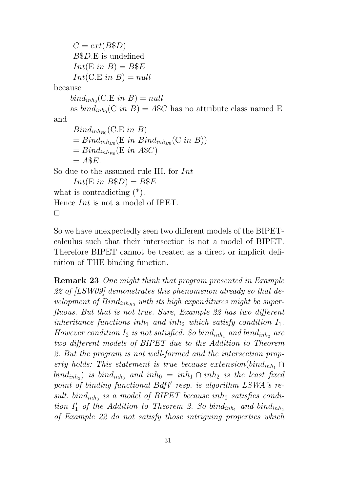```
C = ext(B$D)B$D.E is undefined
      Int(E \text{ in } B) = B$E
      Int(C.E\ in\ B) = nullbecause
     bind_{inh_0}(C.E in B) = null
     as bind_{inh_0}(C in B) = A$C has no attribute class named E
and
      Bind_{inh_{B0}}(C.E~in~B)= Bind_{inh_{B0}}(E \text{ in } Bind_{inh_{B0}}(C \text{ in } B))= Bind_{inh_{B0}}(E \text{ in } A$C)= A$E.So due to the assumed rule III. for Int
      Int(E \in B\$D) = B\$Ewhat is contradicting (*).
Hence Int is not a model of IPET.
\Box
```
So we have unexpectedly seen two different models of the BIPETcalculus such that their intersection is not a model of BIPET. Therefore BIPET cannot be treated as a direct or implicit definition of THE binding function.

Remark 23 One might think that program presented in Example 22 of [LSW09] demonstrates this phenomenon already so that development of  $Bind_{inh_{B0}}$  with its high expenditures might be superfluous. But that is not true. Sure, Example 22 has two different inheritance functions inh<sub>1</sub> and inh<sub>2</sub> which satisfy condition  $I_1$ . However condition  $I_2$  is not satisfied. So bind<sub>inh<sub>1</sub></sub> and bind<sub>inh<sub>2</sub></sub> are two different models of BIPET due to the Addition to Theorem 2. But the program is not well-formed and the intersection property holds: This statement is true because extension(bind<sub>inh<sub>1</sub></sub> ∩  $\left(\delta^{\dot{a}}\right)$  is  $\delta^{\dot{b}}\right)$  and  $\left(\delta^{\dot{a}}\right)$  inh<sub>0</sub> =  $\left(\delta^{\dot{a}}\right)$  inh<sub>1</sub>  $\cap$  inh<sub>2</sub> is the least fixed point of binding functional  $Bdf'$  resp. is algorithm  $LSWA$ 's result.  $bind_{inh_0}$  is a model of BIPET because inh<sub>0</sub> satisfies condition  $I'_1$  of the Addition to Theorem 2. So bind<sub>inh<sub>1</sub></sub> and bind<sub>inh<sub>2</sub></sub> of Example 22 do not satisfy those intriguing properties which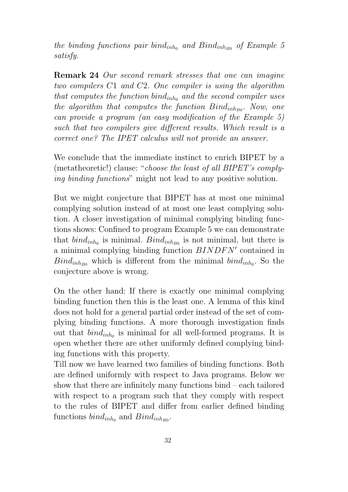the binding functions pair bind<sub>inh<sub>0</sub></sub> and Bind<sub>inh<sub>B0</sub> of Example 5</sub> satisfy.

Remark 24 Our second remark stresses that one can imagine two compilers C1 and C2. One compiler is using the algorithm that computes the function  $bind_{inh_0}$  and the second compiler uses the algorithm that computes the function  $\text{Bind}_{inh_{B0}}$ . Now, one can provide a program (an easy modification of the Example 5) such that two compilers give different results. Which result is a correct one? The IPET calculus will not provide an answer.

We conclude that the immediate instinct to enrich BIPET by a (metatheoretic!) clause: "choose the least of all BIPET's complying binding functions" might not lead to any positive solution.

But we might conjecture that BIPET has at most one minimal complying solution instead of at most one least complying solution. A closer investigation of minimal complying binding functions shows: Confined to program Example 5 we can demonstrate that  $bind_{inh_0}$  is minimal.  $Bind_{inh_{B0}}$  is not minimal, but there is a minimal complying binding function  $BINDFN'$  contained in  $Bind_{inh_{B0}}$  which is different from the minimal  $bind_{inh_0}$ . So the conjecture above is wrong.

On the other hand: If there is exactly one minimal complying binding function then this is the least one. A lemma of this kind does not hold for a general partial order instead of the set of complying binding functions. A more thorough investigation finds out that  $bind_{inh_0}$  is minimal for all well-formed programs. It is open whether there are other uniformly defined complying binding functions with this property.

Till now we have learned two families of binding functions. Both are defined uniformly with respect to Java programs. Below we show that there are infinitely many functions bind – each tailored with respect to a program such that they comply with respect to the rules of BIPET and differ from earlier defined binding functions  $bind_{inh_0}$  and  $Bind_{inh_{B0}}$ .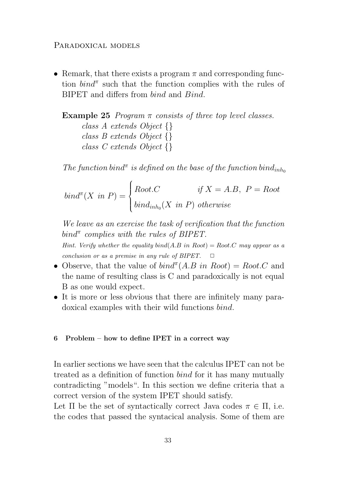#### PARADOXICAL MODELS

• Remark, that there exists a program  $\pi$  and corresponding function  $bind^{\pi}$  such that the function complies with the rules of BIPET and differs from bind and Bind.

Example 25 *Program*  $\pi$  consists of three top level classes. class A extends Object {} class B extends Object {} class C extends Object {}

The function bind<sup> $\pi$ </sup> is defined on the base of the function bind<sub>inho</sub>

$$
bind^{*}(X \in P) = \begin{cases} Root.C & \text{if } X = A.B, P = Root \\ bind_{inh_{0}}(X \in P) \text{ otherwise} \end{cases}
$$

We leave as an exercise the task of verification that the function bind<sup> $\pi$ </sup> complies with the rules of BIPET.

Hint. Verify whether the equality bind(A.B in Root) = Root.C may appear as a conclusion or as a premise in any rule of BIPET.  $\Box$ 

- Observe, that the value of  $bind^{\pi}(A.B \text{ in Root}) = Root.C$  and the name of resulting class is C and paradoxically is not equal B as one would expect.
- It is more or less obvious that there are infinitely many paradoxical examples with their wild functions bind.

#### 6 Problem – how to define IPET in a correct way

In earlier sections we have seen that the calculus IPET can not be treated as a definition of function bind for it has many mutually contradicting "models". In this section we define criteria that a correct version of the system IPET should satisfy.

Let  $\Pi$  be the set of syntactically correct Java codes  $\pi \in \Pi$ , i.e. the codes that passed the syntacical analysis. Some of them are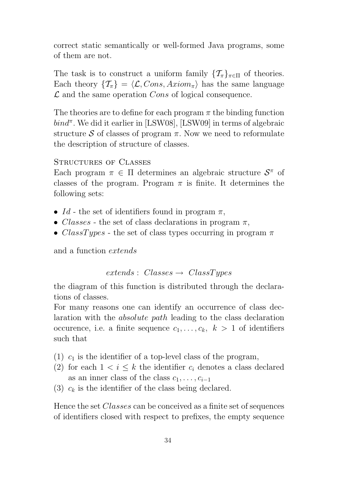correct static semantically or well-formed Java programs, some of them are not.

The task is to construct a uniform family  $\{\mathcal{T}_{\pi}\}_{{\pi}\in\Pi}$  of theories. Each theory  $\{\mathcal{T}_{\pi}\} = \langle \mathcal{L}, Cons, Axiom_{\pi} \rangle$  has the same language  $\mathcal L$  and the same operation Cons of logical consequence.

The theories are to define for each program  $\pi$  the binding function  $bind^{\pi}$ . We did it earlier in [LSW08], [LSW09] in terms of algebraic structure S of classes of program  $\pi$ . Now we need to reformulate the description of structure of classes.

## STRUCTURES OF CLASSES

Each program  $\pi \in \Pi$  determines an algebraic structure  $\mathcal{S}^{\pi}$  of classes of the program. Program  $\pi$  is finite. It determines the following sets:

- Id the set of identifiers found in program  $\pi$ ,
- Classes the set of class declarations in program  $\pi$ ,
- ClassTypes the set of class types occurring in program  $\pi$

and a function extends

 $extends: Classes \rightarrow ClassTypes$ 

the diagram of this function is distributed through the declarations of classes.

For many reasons one can identify an occurrence of class declaration with the absolute path leading to the class declaration occurence, i.e. a finite sequence  $c_1, \ldots, c_k, k > 1$  of identifiers such that

- (1)  $c_1$  is the identifier of a top-level class of the program,
- (2) for each  $1 \leq i \leq k$  the identifier  $c_i$  denotes a class declared as an inner class of the class  $c_1, \ldots, c_{i-1}$
- (3)  $c_k$  is the identifier of the class being declared.

Hence the set Classes can be conceived as a finite set of sequences of identifiers closed with respect to prefixes, the empty sequence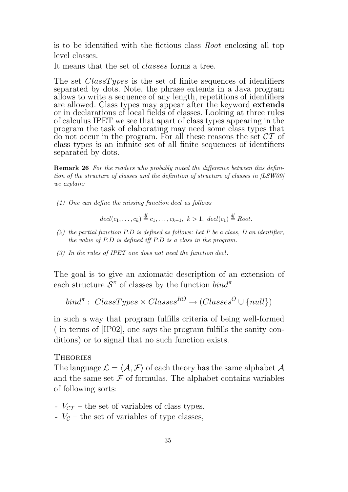is to be identified with the fictious class Root enclosing all top level classes.

It means that the set of *classes* forms a tree.

The set *ClassTypes* is the set of finite sequences of identifiers separated by dots. Note, the phrase extends in a Java program allows to write a sequence of any length, repetitions of identifiers are allowed. Class types may appear after the keyword extends or in declarations of local fields of classes. Looking at three rules of calculus IPET we see that apart of class types appearing in the program the task of elaborating may need some class types that do not occur in the program. For all these reasons the set  $CT$  of class types is an infinite set of all finite sequences of identifiers separated by dots.

Remark 26 For the readers who probably noted the difference between this definition of the structure of classes and the definition of structure of classes in [LSW09] we explain:

(1) One can define the missing function decl as follows

 $\begin{aligned} decl(c_1,\ldots,c_k) \stackrel{\mathrm{df}}{=} c_1,\ldots,c_{k-1}, \ k>1, \ decl(c_1) \stackrel{\mathrm{df}}{=} Root. \end{aligned}$ 

- (2) the partial function  $P.D$  is defined as follows: Let  $P$  be a class,  $D$  an identifier, the value of P.D is defined iff P.D is a class in the program.
- (3) In the rules of IPET one does not need the function decl.

The goal is to give an axiomatic description of an extension of each structure  $S^{\pi}$  of classes by the function  $bind^{\pi}$ 

```
bind^{\pi}: \ ClassTypes \times Classes^{RO} \rightarrow (Classes^O \cup \{null\})
```
in such a way that program fulfills criteria of being well-formed ( in terms of [IP02], one says the program fulfills the sanity conditions) or to signal that no such function exists.

#### **THEORIES**

The language  $\mathcal{L} = \langle \mathcal{A}, \mathcal{F} \rangle$  of each theory has the same alphabet  $\mathcal{A}$ and the same set  $\mathcal F$  of formulas. The alphabet contains variables of following sorts:

- $V_{CT}$  the set of variables of class types,
- $V_c$  the set of variables of type classes,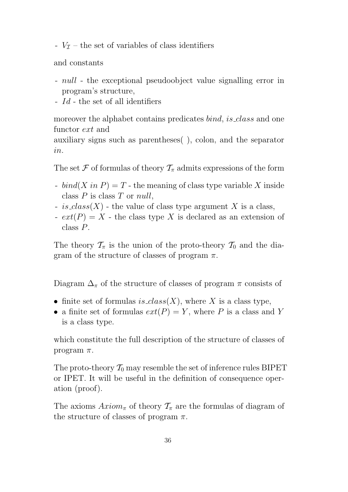-  $V_{\mathcal{I}}$  – the set of variables of class identifiers

and constants

- null the exceptional pseudoobject value signalling error in program's structure,
- Id the set of all identifiers

moreover the alphabet contains predicates *bind*, *is class* and one functor ext and

auxiliary signs such as parentheses( ), colon, and the separator in.

The set F of formulas of theory  $\mathcal{T}_{\pi}$  admits expressions of the form

- bind(X in P) = T the meaning of class type variable X inside class  $P$  is class  $T$  or  $null$ ,
- is\_class(X) the value of class type argument X is a class,
- $ext(P) = X$  the class type X is declared as an extension of class P.

The theory  $\mathcal{T}_{\pi}$  is the union of the proto-theory  $\mathcal{T}_{0}$  and the diagram of the structure of classes of program  $\pi$ .

Diagram  $\Delta_{\pi}$  of the structure of classes of program  $\pi$  consists of

- finite set of formulas is\_class(X), where X is a class type,
- a finite set of formulas  $ext(P) = Y$ , where P is a class and Y is a class type.

which constitute the full description of the structure of classes of program  $\pi$ .

The proto-theory  $\mathcal{T}_0$  may resemble the set of inference rules BIPET or IPET. It will be useful in the definition of consequence operation (proof).

The axioms  $Axiom_{\pi}$  of theory  $\mathcal{T}_{\pi}$  are the formulas of diagram of the structure of classes of program  $\pi$ .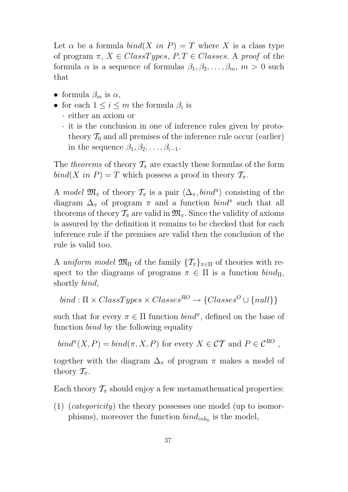Let  $\alpha$  be a formula  $bind(X \text{ in } P) = T$  where X is a class type of program  $\pi$ ,  $X \in ClassTypes, P, T \in Classes.$  A proof of the formula  $\alpha$  is a sequence of formulas  $\beta_1, \beta_2, \ldots, \beta_m, m > 0$  such that

- formula  $\beta_m$  is  $\alpha$ ,
- for each  $1 \leq i \leq m$  the formula  $\beta_i$  is
	- · either an axiom or
	- · it is the conclusion in one of inference rules given by prototheory  $\mathcal{T}_0$  and all premises of the inference rule occur (earlier) in the sequence  $\beta_1, \beta_2, \ldots, \beta_{i-1}$ .

The theorems of theory  $\mathcal{T}_{\pi}$  are exactly these formulas of the form  $bind(X \text{ in } P) = T$  which possess a proof in theory  $\mathcal{T}_{\tau}$ .

A model  $\mathfrak{M}_{\pi}$  of theory  $\mathcal{T}_{\pi}$  is a pair  $\langle \Delta_{\pi}, \text{bind}^{\pi} \rangle$  consisting of the diagram  $\Delta_{\pi}$  of program  $\pi$  and a function  $bind^{\pi}$  such that all theorems of theory  $\mathcal{T}_{\pi}$  are valid in  $\mathfrak{M}_{\pi}$ . Since the validity of axioms is assured by the definition it remains to be checked that for each inference rule if the premises are valid then the conclusion of the rule is valid too.

A uniform model  $\mathfrak{M}_{\Pi}$  of the family  $\{\mathcal{T}_{\pi}\}_{\pi\in\Pi}$  of theories with respect to the diagrams of programs  $\pi \in \Pi$  is a function  $\text{bind}_{\Pi}$ , shortly bind,

bind :  $\Pi \times ClassTypes \times Classes^{RO} \rightarrow \{Class^O \cup \{null\}\}$ 

such that for every  $\pi \in \Pi$  function  $\text{bin} \pi$ , defined on the base of function *bind* by the following equality

$$
bind^{(T)}(X, P) = bind(\pi, X, P)
$$
 for every  $X \in \mathcal{CT}$  and  $P \in \mathcal{C}^{RO}$ ,

together with the diagram  $\Delta_{\pi}$  of program  $\pi$  makes a model of theory  $\mathcal{T}_{\pi}$ .

Each theory  $\mathcal{T}_{\pi}$  should enjoy a few metamathematical properties:

(1) (categoricity) the theory possesses one model (up to isomorphisms), moreover the function  $bind_{inh_0}$  is the model,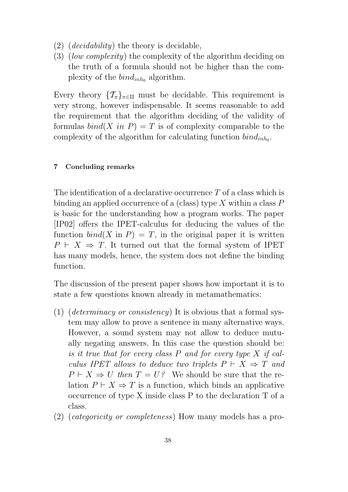- $(2)$  (*decidability*) the theory is decidable,
- (3) (low complexity) the complexity of the algorithm deciding on the truth of a formula should not be higher than the complexity of the  $bind_{inh_0}$  algorithm.

Every theory  $\{\mathcal{T}_{\pi}\}_{\pi \in \Pi}$  must be decidable. This requirement is very strong, however indispensable. It seems reasonable to add the requirement that the algorithm deciding of the validity of formulas  $bind(X \text{ in } P) = T$  is of complexity comparable to the complexity of the algorithm for calculating function  $bind_{inh_0}$ .

#### 7 Concluding remarks

The identification of a declarative occurrence T of a class which is binding an applied occurrence of a (class) type X within a class  $P$ is basic for the understanding how a program works. The paper [IP02] offers the IPET-calculus for deducing the values of the function  $bind(X \text{ in } P) = T$ , in the original paper it is written  $P \vdash X \Rightarrow T$ . It turned out that the formal system of IPET has many models, hence, the system does not define the binding function.

The discussion of the present paper shows how important it is to state a few questions known already in metamathematics:

- (1) (*determinacy or consistency*) It is obvious that a formal system may allow to prove a sentence in many alternative ways. However, a sound system may not allow to deduce mutually negating answers. In this case the question should be: is it true that for every class P and for every type X if calculus IPET allows to deduce two triplets  $P \vdash X \Rightarrow T$  and  $P \vdash X \Rightarrow U$  then  $T = U$ ? We should be sure that the relation  $P \vdash X \Rightarrow T$  is a function, which binds an applicative occurrence of type X inside class P to the declaration T of a class.
- (2) (categoricity or completeness) How many models has a pro-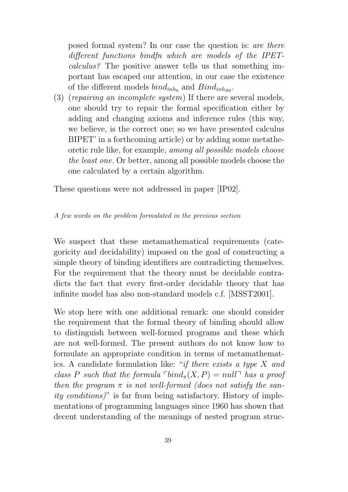posed formal system? In our case the question is: are there different functions bindfn which are models of the IPETcalculus? The positive answer tells us that something important has escaped our attention, in our case the existence of the different models  $bind_{inh_0}$  and  $Bind_{inh_{B0}}$ .

(3) (repairing an incomplete system) If there are several models, one should try to repair the formal specification either by adding and changing axioms and inference rules (this way, we believe, is the correct one; so we have presented calculus BIPET' in a forthcoming article) or by adding some metatheoretic rule like, for example, among all possible models choose the least one. Or better, among all possible models choose the one calculated by a certain algorithm.

These questions were not addressed in paper [IP02].

#### A few words on the problem formulated in the previous section

We suspect that these metamathematical requirements (categoricity and decidability) imposed on the goal of constructing a simple theory of binding identifiers are contradicting themselves. For the requirement that the theory must be decidable contradicts the fact that every first-order decidable theory that has infinite model has also non-standard models c.f. [MSST2001].

We stop here with one additional remark: one should consider the requirement that the formal theory of binding should allow to distinguish between well-formed programs and these which are not well-formed. The present authors do not know how to formulate an appropriate condition in terms of metamathematics. A candidate formulation like: "if there exists a type X and class P such that the formula  $\lceil \frac{bind_{\pi}(X, P)}{m}\rceil$  has a proof then the program  $\pi$  is not well-formed (does not satisfy the sanity conditions)" is far from being satisfactory. History of implementations of programming languages since 1960 has shown that decent understanding of the meanings of nested program struc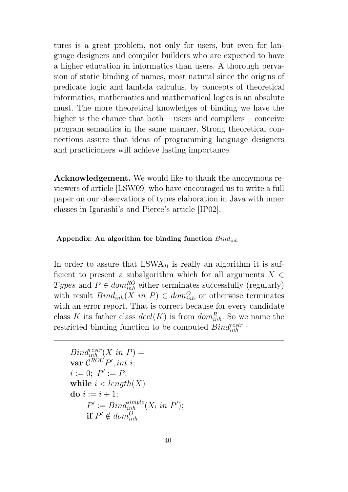tures is a great problem, not only for users, but even for language designers and compiler builders who are expected to have a higher education in informatics than users. A thorough pervasion of static binding of names, most natural since the origins of predicate logic and lambda calculus, by concepts of theoretical informatics, mathematics and mathematical logics is an absolute must. The more theoretical knowledges of binding we have the higher is the chance that both – users and compilers – conceive program semantics in the same manner. Strong theoretical connections assure that ideas of programming language designers and practicioners will achieve lasting importance.

Acknowledgement. We would like to thank the anonymous reviewers of article [LSW09] who have encouraged us to write a full paper on our observations of types elaboration in Java with inner classes in Igarashi's and Pierce's article [IP02].

#### Appendix: An algorithm for binding function  $Bind_{inh}$

In order to assure that  $LSWA<sub>B</sub>$  is really an algorithm it is sufficient to present a subalgorithm which for all arguments  $X \in$ Types and  $P \in dom_{inh}^{RO}$  either terminates successfully (regularly) with result  $Bind_{inh}(X \text{ in } P) \in dom_{inh}^O$  or otherwise terminates with an error report. That is correct because for every candidate class K its father class  $\text{decl}(K)$  is from  $\text{dom}_{\text{inh}}^R$ . So we name the restricted binding function to be computed  $Bind_{inh}^{restr}$ :

```
Bind_{inh}^{restr}(X \in P) =var \mathcal{C}^{ROU}P', int\ i;i := 0; P' := P;while i < length(X)do i := i + 1;
      P' := Bind_{inh}^{simple}(X_i \text{ in } P');if P' \notin dom_{inh}^O
```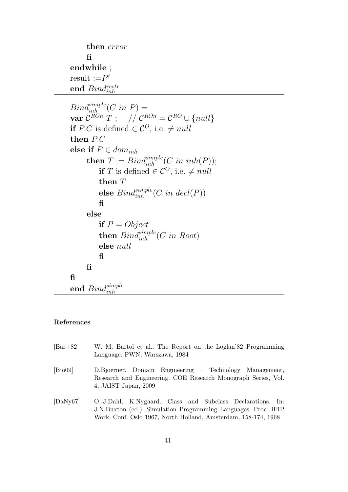```
then error
      fi
endwhile ;
result := P'end \mathit{Bind^\textit{restr}_{inh}}
```

```
Bind_{inh}^{simple}(C \in P) =\textbf{var} \; \mathcal{C}^{ROn} \; T \; ; \quad \textit{//} \; \mathcal{C}^{ROn} = \mathcal{C}^{RO} \cup \{null\}if P.C is defined \in \mathcal{C}^O, i.e. \neq nullthen P.C
else if P \in dom_{inh}then T := Bin_{inh}^{simple}(C \text{ in } inh(P));if T is defined \in \mathcal{C}^O, i.e. \neq nullthen Telse \mathit{Bind}_{inh}^{simple}(C\ in\ decl(P))fi
        else
              if P = Objectthen \mathit{Bind}_{inh}^{simple}(C\ in\ Root)else null
             fi
        fi
fi
\hspace{0.1em}\textbf{end} \hspace{0.1em} \bar{Bind}_{inh}^{simple}
```
#### References

- [Bar+82] W. M. Bartol et al.. The Report on the Loglan'82 Programming Language. PWN, Warszawa, 1984 [Bjo09] D.Bjoerner. Domain Engineering – Technology Management,
- Research and Engineering. COE Research Monograph Series, Vol. 4, JAIST Japan, 2009
- [DaNy67] O.-J.Dahl, K.Nygaard. Class and Subclass Declarations. In: J.N.Buxton (ed.). Simulation Programming Languages. Proc. IFIP Work. Conf. Oslo 1967, North Holland, Amsterdam, 158-174, 1968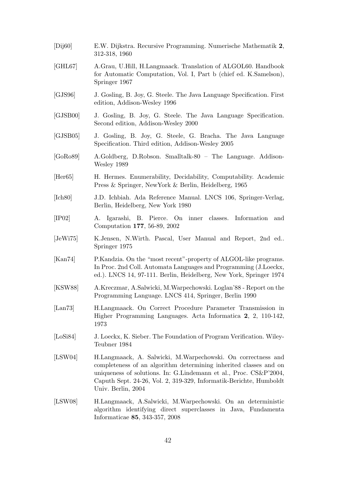| [Dij60]                  | E.W. Dijkstra. Recursive Programming. Numerische Mathematik 2,<br>312-318, 1960                                                                                                                                                                                                                    |
|--------------------------|----------------------------------------------------------------------------------------------------------------------------------------------------------------------------------------------------------------------------------------------------------------------------------------------------|
| [GHL67]                  | A.Grau, U.Hill, H.Langmaack. Translation of ALGOL60. Handbook<br>for Automatic Computation, Vol. I, Part b (chief ed. K.Samelson),<br>Springer 1967                                                                                                                                                |
| [GJS96]                  | J. Gosling, B. Joy, G. Steele. The Java Language Specification. First<br>edition, Addison-Wesley 1996                                                                                                                                                                                              |
| [GJSB00]                 | J. Gosling, B. Joy, G. Steele. The Java Language Specification.<br>Second edition, Addison-Wesley 2000                                                                                                                                                                                             |
| [GJSB05]                 | J. Gosling, B. Joy, G. Steele, G. Bracha. The Java Language<br>Specification. Third edition, Addison-Wesley 2005                                                                                                                                                                                   |
| [GoRo89]                 | A.Goldberg, D.Robson. Smalltalk-80 - The Language. Addison-<br>Wesley 1989                                                                                                                                                                                                                         |
| [Her65]                  | H. Hermes. Enumerability, Decidability, Computability. Academic<br>Press & Springer, NewYork & Berlin, Heidelberg, 1965                                                                                                                                                                            |
| [Ich80]                  | J.D. Ichbiah. Ada Reference Manual. LNCS 106, Springer-Verlag,<br>Berlin, Heidelberg, New York 1980                                                                                                                                                                                                |
| [IP02]                   | Igarashi, B. Pierce. On inner classes. Information<br>А.<br>and<br>Computation 177, 56-89, 2002                                                                                                                                                                                                    |
| [JeWi75]                 | K.Jensen, N.Wirth. Pascal, User Manual and Report, 2nd ed<br>Springer 1975                                                                                                                                                                                                                         |
| [Kan74]                  | P. Kandzia. On the "most recent"-property of ALGOL-like programs.<br>In Proc. 2nd Coll. Automata Languages and Programming (J.Loeckx,<br>ed.). LNCS 14, 97-111. Berlin, Heidelberg, New York, Springer 1974                                                                                        |
| [KSW88]                  | A.Kreczmar, A.Salwicki, M.Warpechowski. Loglan'88 - Report on the<br>Programming Language. LNCS 414, Springer, Berlin 1990                                                                                                                                                                         |
| $\left[$ Lan $73\right]$ | H.Langmaack. On Correct Procedure Parameter Transmission in<br>Higher Programming Languages. Acta Informatica 2, 2, 110-142,<br>1973                                                                                                                                                               |
| [LoSi84]                 | J. Loeckx, K. Sieber. The Foundation of Program Verification. Wiley-<br>Teubner 1984                                                                                                                                                                                                               |
| [LSW04]                  | H.Langmaack, A. Salwicki, M.Warpechowski. On correctness and<br>completeness of an algorithm determining inherited classes and on<br>uniqueness of solutions. In: G.Lindemann et al., Proc. CS&P'2004,<br>Caputh Sept. 24-26, Vol. 2, 319-329, Informatik-Berichte, Humboldt<br>Univ. Berlin, 2004 |
| [LSW08]                  | H.Langmaack, A.Salwicki, M.Warpechowski. On an deterministic<br>algorithm identifying direct superclasses in Java, Fundamenta<br>Informaticae 85, 343-357, 2008                                                                                                                                    |